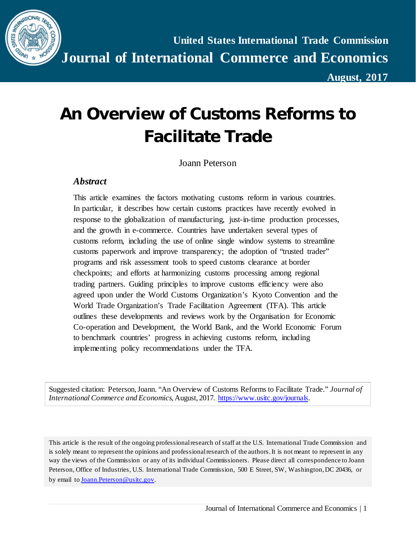

**August, 2017**

# **An Overview of Customs Reforms to Facilitate Trade**

Joann Peterson

#### *Abstract*

This article examines the factors motivating customs reform in various countries. In particular, it describes how certain customs practices have recently evolved in response to the globalization of manufacturing, just-in-time production processes, and the growth in e-commerce. Countries have undertaken several types of customs reform, including the use of online single window systems to streamline customs paperwork and improve transparency; the adoption of "trusted trader" programs and risk assessment tools to speed customs clearance at border checkpoints; and efforts at harmonizing customs processing among regional trading partners. Guiding principles to improve customs efficiency were also agreed upon under the World Customs Organization's Kyoto Convention and the World Trade Organization's Trade Facilitation Agreement (TFA). This article outlines these developments and reviews work by the Organisation for Economic Co-operation and Development, the World Bank, and the World Economic Forum to benchmark countries' progress in achieving customs reform, including implementing policy recommendations under the TFA.

Suggested citation: Peterson, Joann. "An Overview of Customs Reforms to Facilitate Trade." *Journal of International Commerce and Economics*, August, 2017. [https://www.usitc.gov/journals.](https://www.usitc.gov/journals) 

This article is the result of the ongoing professional research of staff at the U.S. International Trade Commission and is solely meant to represent the opinions and professional research of the authors. It is not meant to represent in any way the views of the Commission or any of its individual Commissioners. Please direct all correspondence to Joann Peterson, Office of Industries, U.S. International Trade Commission, 500 E Street, SW, Washington, DC 20436, or by email t[o Joann.Peterson@usitc.gov](mailto:Joann.Peterson@usitc.gov).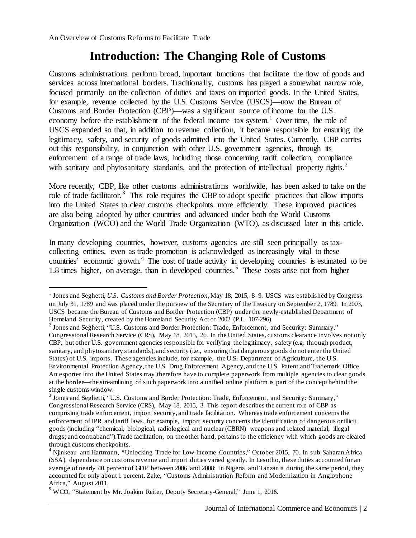$\overline{a}$ 

### **Introduction: The Changing Role of Customs**

Customs administrations perform broad, important functions that facilitate the flow of goods and services across international borders. Traditionally, customs has played a somewhat narrow role, focused primarily on the collection of duties and taxes on imported goods. In the United States, for example, revenue collected by the U.S. Customs Service (USCS)—now the Bureau of Customs and Border Protection (CBP)—was a significant source of income for the U.S. economy before the establishment of the federal income tax system.<sup>[1](#page-1-0)</sup> Over time, the role of USCS expanded so that, in addition to revenue collection, it became responsible for ensuring the legitimacy, safety, and security of goods admitted into the United States. Currently, CBP carries out this responsibility, in conjunction with other U.S. government agencies, through its enforcement of a range of trade laws, including those concerning tariff collection, compliance with sanitary and phytosanitary standards, and the protection of intellectual property rights. $2$ 

More recently, CBP, like other customs administrations worldwide, has been asked to take on the role of trade facilitator.<sup>[3](#page-1-2)</sup> This role requires the CBP to adopt specific practices that allow imports into the United States to clear customs checkpoints more efficiently. These improved practices are also being adopted by other countries and advanced under both the World Customs Organization (WCO) and the World Trade Organization (WTO), as discussed later in this article.

In many developing countries, however, customs agencies are still seen principally as taxcollecting entities, even as trade promotion is acknowledged as increasingly vital to these countries' economic growth.<sup>[4](#page-1-3)</sup> The cost of trade activity in developing countries is estimated to be 1.8 times higher, on average, than in developed countries.<sup>[5](#page-1-4)</sup> These costs arise not from higher

<span id="page-1-0"></span><sup>1</sup> Jones and Seghetti, *U.S. Customs and Border Protection,*May 18, 2015, 8–9. USCS was established by Congress on July 31, 1789 and was placed under the purview of the Secretary of the Treasury on September 2, 1789. In 2003, USCS became the Bureau of Customs and Border Protection (CBP) under the newly-established Department of Homeland Security, created by the Homeland Security Act of 2002 (P.L. 107-296).

<span id="page-1-1"></span><sup>&</sup>lt;sup>2</sup> Jones and Seghetti, "U.S. Customs and Border Protection: Trade, Enforcement, and Security: Summary," Congressional Research Service (CRS), May 18, 2015, 26. In the United States, customs clearance involves not only CBP, but other U.S. government agencies responsible for verifying the legitimacy, safety (e.g. through product, sanitary, and phytosanitary standards), and security (i.e., ensuring that dangerous goods do not enter the United States) of U.S. imports. These agencies include, for example, the U.S. Department of Agriculture, the U.S. Environmental Protection Agency, the U.S. Drug Enforcement Agency, and the U.S. Patent and Trademark Office. An exporter into the United States may therefore have to complete paperwork from multiple agencies to clear goods at the border—the streamlining of such paperwork into a unified online platform is part of the concept behind the single customs window.

<span id="page-1-2"></span><sup>&</sup>lt;sup>3</sup> Jones and Seghetti, "U.S. Customs and Border Protection: Trade, Enforcement, and Security: Summary," Congressional Research Service (CRS), May 18, 2015, 3. This report describes the current role of CBP as comprising trade enforcement, import security, and trade facilitation. Whereas trade enforcement concerns the enforcement of IPR and tariff laws, for example, import security concerns the identification of dangerous or illicit goods (including "chemical, biological, radiological and nuclear (CBRN) weapons and related material; illegal drugs; and contraband").Trade facilitation, on the other hand, pertains to the efficiency with which goods are cleared through customs checkpoints.

<span id="page-1-3"></span><sup>&</sup>lt;sup>4</sup> Njinkeau and Hartmann, "Unlocking Trade for Low-Income Countries," October 2015, 70. In sub-Saharan Africa (SSA), dependence on customs revenue and import duties varied greatly. In Lesotho, these duties accounted for an average of nearly 40 percent of GDP between 2006 and 2008; in Nigeria and Tanzania during the same period, they accounted for only about 1 percent. Zake, "Customs Administration Reform and Modernization in Anglophone Africa," August 2011.

<span id="page-1-4"></span><sup>5</sup> WCO, "Statement by Mr. Joakim Reiter, Deputy Secretary-General," June 1, 2016.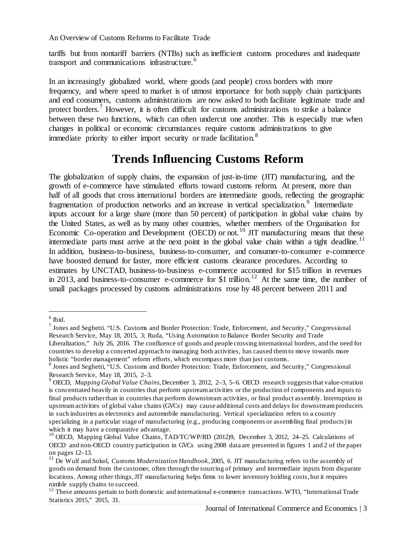tariffs but from nontariff barriers (NTBs) such as inefficient customs procedures and inadequate transport and communications infrastructure.<sup>[6](#page-2-0)</sup>

In an increasingly globalized world, where goods (and people) cross borders with more frequency, and where speed to market is of utmost importance for both supply chain participants and end consumers, customs administrations are now asked to both facilitate legitimate trade and protect borders.<sup>[7](#page-2-1)</sup> However, it is often difficult for customs administrations to strike a balance between these two functions, which can often undercut one another. This is especially true when changes in political or economic circumstances require customs administrations to give immediate priority to either import security or trade facilitation.<sup>[8](#page-2-2)</sup>

## **Trends Influencing Customs Reform**

The globalization of supply chains, the expansion of just-in-time (JIT) manufacturing, and the growth of e-commerce have stimulated efforts toward customs reform. At present, more than half of all goods that cross international borders are intermediate goods, reflecting the geographic fragmentation of production networks and an increase in vertical specialization.<sup>[9](#page-2-3)</sup> Intermediate inputs account for a large share (more than 50 percent) of participation in global value chains by the United States, as well as by many other countries, whether members of the Organisation for Economic Co-operation and Development (OECD) or not.<sup>[10](#page-2-4)</sup> JIT manufacturing means that these intermediate parts must arrive at the next point in the global value chain within a tight deadline.<sup>[11](#page-2-5)</sup> In addition, business-to-business, business-to-consumer, and consumer-to-consumer e-commerce have boosted demand for faster, more efficient customs clearance procedures. According to estimates by UNCTAD, business-to-business e-commerce accounted for \$15 trillion in revenues in 2013, and business-to-consumer e-commerce for \$1 trillion.<sup>[12](#page-2-6)</sup> At the same time, the number of small packages processed by customs administrations rose by 48 percent between 2011 and

<span id="page-2-0"></span> $<sup>6</sup>$  Ibid.</sup>

<span id="page-2-1"></span><sup>7</sup> Jones and Seghetti. "U.S. Customs and Border Protection: Trade, Enforcement, and Security," Congressional Research Service, May 18, 2015, 3; Ruda, "Using Automation to Balance Border Security and Trade Liberalization," July 26, 2016. The confluence of goods and people crossing international borders, and the need for countries to develop a concerted approach to managing both activities, has caused them to move towards more holistic "border management" reform efforts, which encompass more than just customs.

<span id="page-2-2"></span><sup>8</sup> Jones and Seghetti, "U.S. Customs and Border Protection: Trade, Enforcement, and Security," Congressional Research Service, May 18, 2015, 2–3.

<span id="page-2-3"></span><sup>9</sup> OECD, *Mapping Global Value Chains*, December 3, 2012, 2–3, 5–6. OECD research suggests that value-creation is concentrated heavily in countries that perform upstream activities or the production of components and inputs to final products rather than in countries that perform downstream activities, or final product assembly. Interruption in upstream activities of global value chains (GVCs) may cause additional costs and delays for downstream producers in such industries as electronics and automobile manufacturing. Vertical specialization refers to a country specializing in a particular stage of manufacturing (e.g., producing components or assembling final products) in which it may have a comparative advantage.

<span id="page-2-4"></span><sup>&</sup>lt;sup>10</sup> OECD, Mapping Global Value Chains, TAD/TC/WP/RD (2012)9, December 3, 2012, 24–25. Calculations of OECD and non-OECD country participation in GVCs using 2008 data are presented in figures 1 and 2 of the paper

<span id="page-2-5"></span><sup>&</sup>lt;sup>11</sup> De Wulf and Sokol, *Customs Modernization Handbook*, 2005, 6. JIT manufacturing refers to the assembly of goods on demand from the customer, often through the sourcing of primary and intermediate inputs from disparate locations. Among other things, JIT manufacturing helps firms to lower inventory holding costs, but it requires nimble supply chains to succeed.

<span id="page-2-6"></span> $12$  These amounts pertain to both domestic and international e-commerce transactions. WTO, "International Trade Statistics 2015," 2015, 31.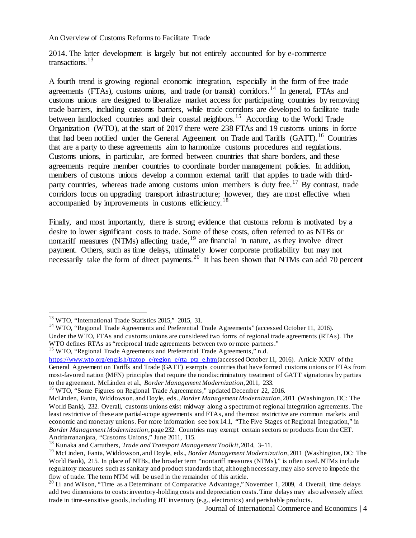2014. The latter development is largely but not entirely accounted for by e-commerce transactions.<sup>[13](#page-3-0)</sup>

A fourth trend is growing regional economic integration, especially in the form of free trade agreements (FTAs), customs unions, and trade (or transit) corridors.<sup>[14](#page-3-1)</sup> In general, FTAs and customs unions are designed to liberalize market access for participating countries by removing trade barriers, including customs barriers, while trade corridors are developed to facilitate trade between landlocked countries and their coastal neighbors.<sup>[15](#page-3-2)</sup> According to the World Trade Organization (WTO), at the start of 2017 there were 238 FTAs and 19 customs unions in force that had been notified under the General Agreement on Trade and Tariffs (GATT).<sup>[16](#page-3-3)</sup> Countries that are a party to these agreements aim to harmonize customs procedures and regulations. Customs unions, in particular, are formed between countries that share borders, and these agreements require member countries to coordinate border management policies. In addition, members of customs unions develop a common external tariff that applies to trade with third-party countries, whereas trade among customs union members is duty free.<sup>[17](#page-3-4)</sup> By contrast, trade corridors focus on upgrading transport infrastructure; however, they are most effective when accompanied by improvements in customs efficiency.<sup>[18](#page-3-5)</sup>

Finally, and most importantly, there is strong evidence that customs reform is motivated by a desire to lower significant costs to trade. Some of these costs, often referred to as NTBs or nontariff measures (NTMs) affecting trade, <sup>[19](#page-3-6)</sup> are financial in nature, as they involve direct payment. Others, such as time delays, ultimately lower corporate profitability but may not necessarily take the form of direct payments.<sup>[20](#page-3-7)</sup> It has been shown that NTMs can add 70 percent

<span id="page-3-0"></span><sup>13</sup> WTO, "International Trade Statistics 2015," 2015, 31.

<span id="page-3-1"></span><sup>&</sup>lt;sup>14</sup> WTO, "Regional Trade Agreements and Preferential Trade Agreements" (accessed October 11, 2016). Under the WTO, FTAs and customs unions are considered two forms of regional trade agreements (RTAs). The WTO defines RTAs as "reciprocal trade agreements between two or more partners."

<span id="page-3-2"></span><sup>&</sup>lt;sup>15</sup> WTO, "Regional Trade Agreements and Preferential Trade Agreements," n.d.

[https://www.wto.org/english/tratop\\_e/region\\_e/rta\\_pta\\_e.htm](https://www.wto.org/english/tratop_e/region_e/rta_pta_e.htm)(accessed October 11, 2016). Article XXIV of the General Agreement on Tariffs and Trade (GATT) exempts countries that have formed customs unions or FTAs from most-favored nation (MFN) principles that require the nondiscriminatory treatment of GATT signatories by parties to the agreement. McLinden et al., *Border Management Modernization*, 2011, 233.

<span id="page-3-3"></span><sup>&</sup>lt;sup>16</sup> WTO, "Some Figures on Regional Trade Agreements," updated December 22, 2016.

<span id="page-3-4"></span>McLinden, Fanta, Widdowson, and Doyle, eds., *Border Management Modernization*, 2011 (Washington, DC: The World Bank), 232. Overall, customs unions exist midway along a spectrum of regional integration agreements. The least restrictive of these are partial-scope agreements and FTAs, and the most restrictive are common markets and economic and monetary unions. For more information see box 14.1, "The Five Stages of Regional Integration," in *Border Management Modernization*, page 232. Countries may exempt certain sectors or products from the CET. Andriamananjara, "Customs Unions," June 2011, 115.

<span id="page-3-5"></span><sup>18</sup> Kunaka and Carruthers, *Trade and Transport Management Toolkit,* 2014, 3–11.

<span id="page-3-6"></span><sup>19</sup> McLinden, Fanta, Widdowson, and Doyle, eds., *Border Management Modernization*, 2011 (Washington, DC: The World Bank), 215. In place of NTBs, the broader term "nontariff measures (NTMs)," is often used. NTMs include regulatory measures such as sanitary and product standards that, although necessary, may also serve to impede the flow of trade. The term NTM will be used in the remainder of this article.

<span id="page-3-7"></span> $\frac{20 \text{ L}}{20 \text{ L}}$  and Wilson, "Time as a Determinant of Comparative Advantage," November 1, 2009, 4. Overall, time delays add two dimensions to costs: inventory-holding costs and depreciation costs. Time delays may also adversely affect trade in time-sensitive goods, including JIT inventory (e.g., electronics) and perishable products.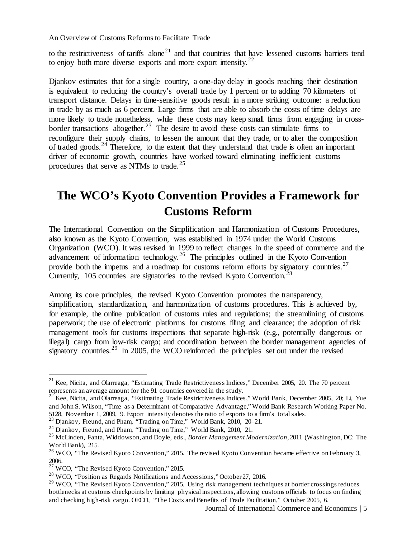to the restrictiveness of tariffs alone<sup>[21](#page-4-0)</sup> and that countries that have lessened customs barriers tend to enjoy both more diverse exports and more export intensity. $2^2$ 

Djankov estimates that for a single country, a one-day delay in goods reaching their destination is equivalent to reducing the country's overall trade by 1 percent or to adding 70 kilometers of transport distance. Delays in time-sensitive goods result in a more striking outcome: a reduction in trade by as much as 6 percent. Large firms that are able to absorb the costs of time delays are more likely to trade nonetheless, while these costs may keep small firms from engaging in cross-border transactions altogether.<sup>[23](#page-4-2)</sup> The desire to avoid these costs can stimulate firms to reconfigure their supply chains, to lessen the amount that they trade, or to alter the composition of traded goods.<sup>[24](#page-4-3)</sup> Therefore, to the extent that they understand that trade is often an important driver of economic growth, countries have worked toward eliminating inefficient customs procedures that serve as NTMs to trade.<sup>[25](#page-4-4)</sup>

# **The WCO's Kyoto Convention Provides a Framework for Customs Reform**

The International Convention on the Simplification and Harmonization of Customs Procedures, also known as the Kyoto Convention, was established in 1974 under the World Customs Organization (WCO). It was revised in 1999 to reflect changes in the speed of commerce and the advancement of information technology.[26](#page-4-5) The principles outlined in the Kyoto Convention provide both the impetus and a roadmap for customs reform efforts by signatory countries.<sup>[27](#page-4-6)</sup> Currently, 105 countries are signatories to the revised Kyoto Convention.<sup>[28](#page-4-7)</sup>

Among its core principles, the revised Kyoto Convention promotes the transparency, simplification, standardization, and harmonization of customs procedures. This is achieved by, for example, the online publication of customs rules and regulations; the streamlining of customs paperwork; the use of electronic platforms for customs filing and clearance; the adoption of risk management tools for customs inspections that separate high-risk (e.g., potentially dangerous or illegal) cargo from low-risk cargo; and coordination between the border management agencies of signatory countries.<sup>[29](#page-4-8)</sup> In 2005, the WCO reinforced the principles set out under the revised

<span id="page-4-0"></span><sup>&</sup>lt;sup>21</sup> Kee, Nicita, and Olarreaga, "Estimating Trade Restrictiveness Indices," December 2005, 20. The 70 percent represents an average amount for the 91 countries covered in the study.

<span id="page-4-1"></span> $22^{\circ}$  Kee, Nicita, and Olarreaga, "Estimating Trade Restrictiveness Indices," World Bank, December 2005, 20; Li, Yue and John S. Wilson, "Time as a Determinant of Comparative Advantage," World Bank Research Working Paper No. 5128, November 1, 2009, 9. Export intensity denotes the ratio of exports to a firm's total sales.

<span id="page-4-2"></span> $^{23}$  Djankov, Freund, and Pham, "Trading on Time," World Bank, 2010, 20-21.

<span id="page-4-3"></span><sup>&</sup>lt;sup>24</sup> Djankov, Freund, and Pham, "Trading on Time," World Bank, 2010, 21.

<span id="page-4-4"></span><sup>25</sup> McLinden, Fanta, Widdowson, and Doyle, eds., *Border Management Modernization*, 2011 (Washington, DC: The World Bank), 215.

<span id="page-4-5"></span> $26$  WCO, "The Revised Kyoto Convention," 2015. The revised Kyoto Convention became effective on February 3, 2006.

<span id="page-4-6"></span> $27 \text{ WCO}$ , "The Revised Kyoto Convention," 2015.

<sup>&</sup>lt;sup>28</sup> WCO, "Position as Regards Notifications and Accessions," October 27, 2016.

<span id="page-4-8"></span><span id="page-4-7"></span><sup>&</sup>lt;sup>29</sup> WCO, "The Revised Kyoto Convention," 2015. Using risk management techniques at border crossings reduces bottlenecks at customs checkpoints by limiting physical inspections, allowing customs officials to focus on finding and checking high-risk cargo. OECD, "The Costs and Benefits of Trade Facilitation," October 2005, 6.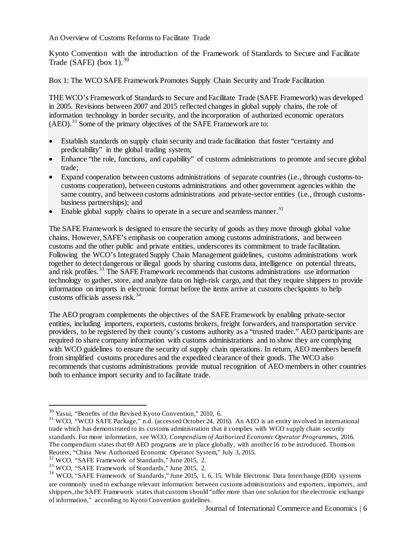Kyoto Convention with the introduction of the Framework of Standards to Secure and Facilitate Trade (SAFE) (box 1).<sup>[30](#page-5-0)</sup>

Box 1: The WCO SAFE Framework Promotes Supply Chain Security and Trade Facilitation

THE WCO's Framework of Standards to Secure and Facilitate Trade (SAFE Framework) was developed in 2005. Revisions between 2007 and 2015 reflected changes in global supply chains, the role of information technology in border security, and the incorporation of authorized economic operators (AEO). [31](#page-5-1) Some of the primary objectives of the SAFE Framework are to:

- Establish standards on supply chain security and trade facilitation that foster "certainty and predictability" in the global trading system;
- Enhance "the role, functions, and capability" of customs administrations to promote and secure global trade;
- Expand cooperation between customs administrations of separate countries (i.e., through customs-tocustoms cooperation), between customs administrations and other government agencies within the same country, and between customs administrations and private-sector entities (i.e., through customsbusiness partnerships); and
- Enable global supply chains to operate in a secure and seamless manner.<sup>[32](#page-5-2)</sup>

The SAFE Framework is designed to ensure the security of goods as they move through global value chains. However, SAFE's emphasis on cooperation among customs administrations, and between customs and the other public and private entities, underscores its commitment to trade facilitation. Following the WCO's Integrated Supply Chain Management guidelines, customs administrations work together to detect dangerous or illegal goods by sharing customs data, intelligence on potential threats, and risk profiles. [33](#page-5-3) The SAFE Framework recommends that customs administrations use information technology to gather, store, and analyze data on high-risk cargo, and that they require shippers to provide information on imports in electronic format before the items arrive at customs checkpoints to help customs officials assess risk. [34](#page-5-4)

The AEO program complements the objectives of the SAFE Framework by enabling private-sector entities, including importers, exporters, customs brokers, freight forwarders, and transportation service providers, to be registered by their county's customs authority as a "trusted trader." AEO participants are required to share company information with customs administrations and to show they are complying with WCO guidelines to ensure the security of supply chain operations. In return, AEO members benefit from simplified customs procedures and the expedited clearance of their goods. The WCO also recommends that customs administrations provide mutual recognition of AEO members in other countries both to enhance import security and to facilitate trade.

<span id="page-5-0"></span><sup>30</sup> Yasui, "Benefits of the Revised Kyoto Convention," 2010, 6.

<span id="page-5-1"></span><sup>&</sup>lt;sup>31</sup> WCO, "WCO SAFE Package," n.d. (accessed October 24, 2016). An AEO is an entity involved in international trade which has demonstrated to its customs administration that it complies with WCO supply chain security standards. For more information, see WCO, *Compendium of Authorized Economic Operator Programmes*, 2016. The compendium states that 69 AEO programs are in place globally, with another 16 to be introduced. Thomson Reuters, "China New Authorized Economic Operator System," July 3, 2015.

<span id="page-5-2"></span><sup>32</sup> WCO, "SAFE Framework of Standards," June 2015, 2.

<span id="page-5-3"></span><sup>33</sup> WCO, "SAFE Framework of Standards," June 2015, 2.

<span id="page-5-4"></span><sup>&</sup>lt;sup>34</sup> WCO, "SAFE Framework of Standards," June 2015, 1, 6, 15. While Electronic Data Interchange (EDI) systems are commonly used to exchange relevant information between customs administrations and exporters, importers, and shippers, the SAFE Framework states that customs should "offer more than one solution for the electronic exchange of information," according to Kyoto Convention guidelines.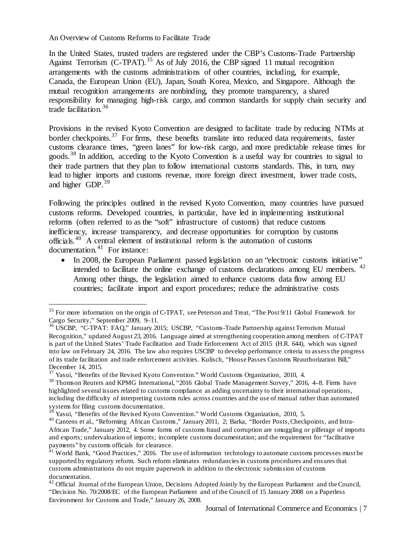$\overline{a}$ 

In the United States, trusted traders are registered under the CBP's Customs-Trade Partnership Against Terrorism (C-TPAT).<sup>[35](#page-6-0)</sup> As of July 2016, the CBP signed 11 mutual recognition arrangements with the customs administrations of other countries, including, for example, Canada, the European Union (EU), Japan, South Korea, Mexico, and Singapore. Although the mutual recognition arrangements are nonbinding, they promote transparency, a shared responsibility for managing high-risk cargo, and common standards for supply chain security and trade facilitation.[36](#page-6-1)

Provisions in the revised Kyoto Convention are designed to facilitate trade by reducing NTMs at border checkpoints.<sup>[37](#page-6-2)</sup> For firms, these benefits translate into reduced data requirements, faster customs clearance times, "green lanes" for low-risk cargo, and more predictable release times for goods.<sup>[38](#page-6-3)</sup> In addition, acceding to the Kyoto Convention is a useful way for countries to signal to their trade partners that they plan to follow international customs standards. This, in turn, may lead to higher imports and customs revenue, more foreign direct investment, lower trade costs, and higher GDP.<sup>[39](#page-6-4)</sup>

Following the principles outlined in the revised Kyoto Convention, many countries have pursued customs reforms. Developed countries, in particular, have led in implementing institutional reforms (often referred to as the "soft" infrastructure of customs) that reduce customs inefficiency, increase transparency, and decrease opportunities for corruption by customs officials.[40](#page-6-5) A central element of institutional reform is the automation of customs documentation. $41$  For instance:

• In 2008, the European Parliament passed legislation on an "electronic customs initiative" intended to facilitate the online exchange of customs declarations among EU members. [42](#page-6-7) Among other things, the legislation aimed to enhance customs data flow among EU countries; facilitate import and export procedures; reduce the administrative costs

<span id="page-6-0"></span><sup>&</sup>lt;sup>35</sup> For more information on the origin of C-TPAT, see Peterson and Treat, "The Post 9/11 Global Framework for Cargo Security," September 2009, 9–11.

<span id="page-6-1"></span><sup>&</sup>lt;sup>36</sup> USCBP, "C-TPAT: FAQ," January 2015; USCBP, "Customs-Trade Partnership against Terrorism Mutual Recognition," updated August 23, 2016. Language aimed at strengthening cooperation among members of C-TPAT is part of the United States' Trade Facilitation and Trade Enforcement Act of 2015 (H.R. 644), which was signed into law on February 24, 2016. The law also requires USCBP to develop performance criteria to assess the progress of its trade facilitation and trade enforcement activities. Kulisch, "House Passes Customs Reauthorization Bill," December 14, 2015.

<sup>&</sup>lt;sup>37</sup> Yasui, "Benefits of the Revised Kyoto Convention." World Customs Organization, 2010, 4.

<span id="page-6-3"></span><span id="page-6-2"></span><sup>38</sup> Thomson Reuters and KPMG International, "2016 Global Trade Management Survey," 2016, 4–8. Firms have highlighted several issues related to customs compliance as adding uncertainty to their international operations, including the difficulty of interpreting customs rules across countries and the use of manual rather than automated systems for filing customs documentation.

Yasui, "Benefits of the Revised Kyoto Convention." World Customs Organization, 2010, 5.

<span id="page-6-5"></span><span id="page-6-4"></span><sup>&</sup>lt;sup>40</sup> Cantens et al., "Reforming African Customs," January 2011, 2; Barka, "Border Posts, Checkpoints, and Intra-African Trade," January 2012, 4. Some forms of customs fraud and corruption are smuggling or pilferage of imports and exports; undervaluation of imports; incomplete customs documentation; and the requirement for "facilitative payments" by customs officials for clearance.

<span id="page-6-6"></span> $41$  World Bank, "Good Practices," 2016. The use of information technology to automate customs processes must be supported by regulatory reform. Such reform eliminates redundancies in customs procedures and ensures that customs administrations do not require paperwork in addition to the electronic submission of customs documentation.

<span id="page-6-7"></span> $42$  Official Journal of the European Union, Decisions Adopted Jointly by the European Parliament and the Council, "Decision No. 70/2008/EC of the European Parliament and of the Council of 15 January 2008 on a Paperless Environment for Customs and Trade," January 26, 2008.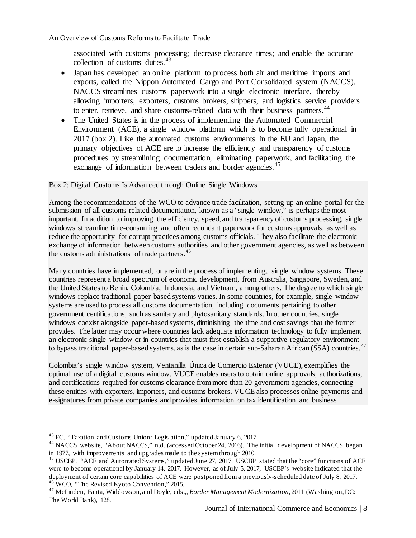associated with customs processing; decrease clearance times; and enable the accurate collection of customs duties.<sup>[43](#page-7-0)</sup>

- Japan has developed an online platform to process both air and maritime imports and exports, called the Nippon Automated Cargo and Port Consolidated system (NACCS). NACCS streamlines customs paperwork into a single electronic interface, thereby allowing importers, exporters, customs brokers, shippers, and logistics service providers to enter, retrieve, and share customs-related data with their business partners.<sup>[44](#page-7-1)</sup>
- The United States is in the process of implementing the Automated Commercial Environment (ACE), a single window platform which is to become fully operational in 2017 (box 2). Like the automated customs environments in the EU and Japan, the primary objectives of ACE are to increase the efficiency and transparency of customs procedures by streamlining documentation, eliminating paperwork, and facilitating the exchange of information between traders and border agencies.<sup>[45](#page-7-2)</sup>

#### Box 2: Digital Customs Is Advanced through Online Single Windows

Among the recommendations of the WCO to advance trade facilitation, setting up an online portal for the submission of all customs-related documentation, known as a "single window," is perhaps the most important. In addition to improving the efficiency, speed, and transparency of customs processing, single windows streamline time-consuming and often redundant paperwork for customs approvals, as well as reduce the opportunity for corrupt practices among customs officials. They also facilitate the electronic exchange of information between customs authorities and other government agencies, as well as between the customs administrations of trade partners.<sup>[46](#page-7-3)</sup>

Many countries have implemented, or are in the process of implementing, single window systems. These countries represent a broad spectrum of economic development, from Australia, Singapore, Sweden, and the United States to Benin, Colombia, Indonesia, and Vietnam, among others. The degree to which single windows replace traditional paper-based systems varies. In some countries, for example, single window systems are used to process all customs documentation, including documents pertaining to other government certifications, such as sanitary and phytosanitary standards. In other countries, single windows coexist alongside paper-based systems, diminishing the time and cost savings that the former provides. The latter may occur where countries lack adequate information technology to fully implement an electronic single window or in countries that must first establish a supportive regulatory environment to bypass traditional paper-based systems, as is the case in certain sub-Saharan African (SSA) countries.<sup>[47](#page-7-4)</sup>

Colombia's single window system, Ventanilla Única de Comercio Exterior (VUCE), exemplifies the optimal use of a digital customs window. VUCE enables users to obtain online approvals, authorizations, and certifications required for customs clearance from more than 20 government agencies, connecting these entities with exporters, importers, and customs brokers. VUCE also processes online payments and e-signatures from private companies and provides information on tax identification and business

<sup>43</sup> EC, "Taxation and Customs Union: Legislation," updated January 6, 2017.

<span id="page-7-1"></span><span id="page-7-0"></span><sup>&</sup>lt;sup>44</sup> NACCS website, "About NACCS," n.d. (accessed October 24, 2016). The initial development of NACCS began in 1977, with improvements and upgrades made to the system through 2010.

<span id="page-7-2"></span><sup>&</sup>lt;sup>45</sup> USCBP, "ACE and Automated Systems," updated June 27, 2017. USCBP stated that the "core" functions of ACE were to become operational by January 14, 2017. However, as of July 5, 2017, USCBP's website indicated that the deployment of certain core capabilities of ACE were postponed from a previously-scheduled date of July 8, 2017. <sup>46</sup> WCO, "The Revised Kyoto Convention," 2015.

<span id="page-7-4"></span><span id="page-7-3"></span><sup>47</sup> McLinden, Fanta, Widdowson, and Doyle, eds.,, *Border Management Modernization*, 2011 (Washington, DC: The World Bank), 128.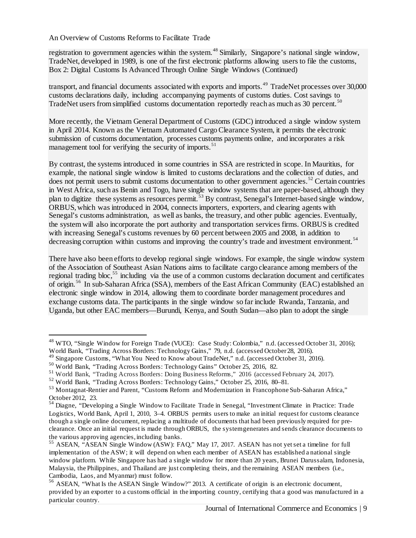registration to government agencies within the system.<sup>[48](#page-8-0)</sup> Similarly, Singapore's national single window, TradeNet, developed in 1989, is one of the first electronic platforms allowing users to file the customs, Box 2: Digital Customs Is Advanced Through Online Single Windows (Continued)

transport, and financial documents associated with exports and imports.<sup>[49](#page-8-1)</sup> TradeNet processes over 30,000 customs declarations daily, including accompanying payments of customs duties. Cost savings to TradeNet users from simplified customs documentation reportedly reach as much as 30 percent.<sup>[50](#page-8-2)</sup>

More recently, the Vietnam General Department of Customs (GDC) introduced a single window system in April 2014. Known as the Vietnam Automated Cargo Clearance System, it permits the electronic submission of customs documentation, processes customs payments online, and incorporates a risk management tool for verifying the security of imports.<sup>[51](#page-8-3)</sup>

By contrast, the systems introduced in some countries in SSA are restricted in scope. In Mauritius, for example, the national single window is limited to customs declarations and the collection of duties, and does not permit users to submit customs documentation to other government agencies.<sup>[52](#page-8-4)</sup> Certain countries in West Africa, such as Benin and Togo, have single window systems that are paper-based, although they plan to digitize these systems as resources permit. [53](#page-8-5) By contrast, Senegal's Internet-based single window, ORBUS, which was introduced in 2004, connects importers, exporters, and clearing agents with Senegal's customs administration, as well as banks, the treasury, and other public agencies. Eventually, the system will also incorporate the port authority and transportation services firms. ORBUS is credited with increasing Senegal's customs revenues by 60 percent between 2005 and 2008, in addition to decreasing corruption within customs and improving the country's trade and investment environment.<sup>[54](#page-8-6)</sup>

There have also been efforts to develop regional single windows. For example, the single window system of the Association of Southeast Asian Nations aims to facilitate cargo clearance among members of the regional trading bloc,<sup>[55](#page-8-7)</sup> including via the use of a common customs declaration document and certificates of origin. [56](#page-8-8) In sub-Saharan Africa (SSA), members of the East African Community (EAC) established an electronic single window in 2014, allowing them to coordinate border management procedures and exchange customs data. The participants in the single window so far include Rwanda, Tanzania, and Uganda, but other EAC members—Burundi, Kenya, and South Sudan—also plan to adopt the single

<span id="page-8-0"></span><sup>&</sup>lt;sup>48</sup> WTO, "Single Window for Foreign Trade (VUCE): Case Study: Colombia," n.d. (accessed October 31, 2016); World Bank, "Trading Across Borders: Technology Gains," 79, n.d. (accessed October 28, 2016).

<span id="page-8-1"></span><sup>&</sup>lt;sup>49</sup> Singapore Customs, "What You Need to Know about TradeNet," n.d. (accessed October 31, 2016).<br><sup>50</sup> World Bank, "Trading Across Borders: Technology Gains" October 25, 2016, 82.

<span id="page-8-2"></span>

<span id="page-8-3"></span><sup>&</sup>lt;sup>51</sup> World Bank, "Trading Across Borders: Doing Business Reforms," 2016 (accessed February 24, 2017).

<span id="page-8-4"></span><sup>52</sup> World Bank, "Trading Across Borders: Technology Gains," October 25, 2016, 80–81.

<span id="page-8-5"></span><sup>53</sup> Montagnat-Rentier and Parent, "Customs Reform and Modernization in Francophone Sub-Saharan Africa," October 2012, 23.

<span id="page-8-6"></span><sup>&</sup>lt;sup>54</sup> Diagne, "Developing a Single Window to Facilitate Trade in Senegal, "Investment Climate in Practice: Trade Logistics, World Bank, April 1, 2010, 3–4. ORBUS permits users to make an initial request for customs clearance though a single online document, replacing a multitude of documents that had been previously required for preclearance. Once an initial request is made through ORBUS, the system generates and sends clearance documents to the various approving agencies, including banks.

<span id="page-8-7"></span><sup>&</sup>lt;sup>55</sup> ASEAN, "ASEAN Single Window (ASW): FAQ," May 17, 2017. ASEAN has not yet set a timeline for full implementation of the ASW; it will depend on when each member of ASEAN has established a national single window platform. While Singapore has had a single window for more than 20 years, Brunei Darussalam, Indonesia, Malaysia, the Philippines, and Thailand are just completing theirs, and the remaining ASEAN members (i.e., Cambodia, Laos, and Myanmar) must follow.

<span id="page-8-8"></span><sup>&</sup>lt;sup>56</sup> ASEAN, "What Is the ASEAN Single Window?" 2013. A certificate of origin is an electronic document, provided by an exporter to a customs official in the importing country, certifying that a good was manufactured in a particular country.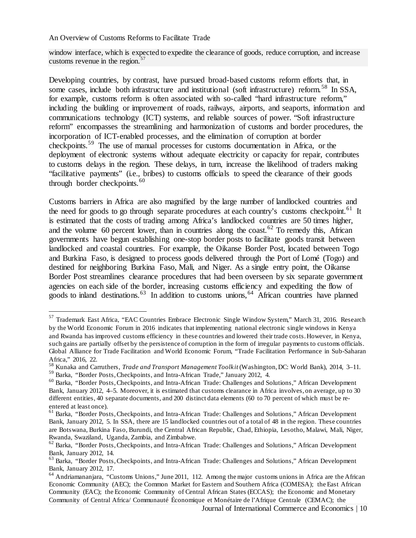window interface, which is expected to expedite the clearance of goods, reduce corruption, and increase customs revenue in the region. $57$ 

Developing countries, by contrast, have pursued broad-based customs reform efforts that, in some cases, include both infrastructure and institutional (soft infrastructure) reform.<sup>[58](#page-9-1)</sup> In SSA, for example, customs reform is often associated with so-called "hard infrastructure reform," including the building or improvement of roads, railways, airports, and seaports, information and communications technology (ICT) systems, and reliable sources of power. "Soft infrastructure reform" encompasses the streamlining and harmonization of customs and border procedures, the incorporation of ICT-enabled processes, and the elimination of corruption at border checkpoints.[59](#page-9-2) The use of manual processes for customs documentation in Africa, or the deployment of electronic systems without adequate electricity or capacity for repair, contributes to customs delays in the region. These delays, in turn, increase the likelihood of traders making "facilitative payments" (i.e., bribes) to customs officials to speed the clearance of their goods through border checkpoints.<sup>[60](#page-9-3)</sup>

Customs barriers in Africa are also magnified by the large number of landlocked countries and the need for goods to go through separate procedures at each country's customs checkpoint.<sup>[61](#page-9-4)</sup> It is estimated that the costs of trading among Africa's landlocked countries are 50 times higher, and the volume 60 percent lower, than in countries along the coast.<sup>[62](#page-9-5)</sup> To remedy this, African governments have begun establishing one-stop border posts to facilitate goods transit between landlocked and coastal countries. For example, the Oikanse Border Post, located between Togo and Burkina Faso, is designed to process goods delivered through the Port of Lomé (Togo) and destined for neighboring Burkina Faso, Mali, and Niger. As a single entry point, the Oikanse Border Post streamlines clearance procedures that had been overseen by six separate government agencies on each side of the border, increasing customs efficiency and expediting the flow of goods to inland destinations.<sup>[63](#page-9-6)</sup> In addition to customs unions,<sup>[64](#page-9-7)</sup> African countries have planned

<span id="page-9-0"></span><sup>57</sup> Trademark East Africa, "EAC Countries Embrace Electronic Single Window System," March 31, 2016. Research by the World Economic Forum in 2016 indicates that implementing national electronic single windows in Kenya and Rwanda has improved customs efficiency in these countries and lowered their trade costs. However, in Kenya, such gains are partially offset by the persistence of corruption in the form of irregular payments to customs officials. Global Alliance for Trade Facilitation and World Economic Forum, "Trade Facilitation Performance in Sub-Saharan Africa," 2016, 22.

<span id="page-9-1"></span><sup>58</sup> Kunaka and Carruthers, *Trade and Transport Management Toolkit* (Washington, DC: World Bank), 2014, 3–11. <sup>59</sup> Barka, "Border Posts, Checkpoints, and Intra-African Trade," January 2012, 4.

<span id="page-9-3"></span><span id="page-9-2"></span><sup>60</sup> Barka, "Border Posts, Checkpoints, and Intra-African Trade: Challenges and Solutions," African Development Bank, January 2012, 4–5. Moreover, it is estimated that customs clearance in Africa involves, on average, up to 30 different entities, 40 separate documents, and 200 distinct data elements (60 to 70 percent of which must be reentered at least once).

<span id="page-9-4"></span><sup>61</sup> Barka, "Border Posts, Checkpoints, and Intra-African Trade: Challenges and Solutions," African Development Bank, January 2012, 5. In SSA, there are 15 landlocked countries out of a total of 48 in the region. These countries are Botswana, Burkina Faso, Burundi, the Central African Republic, Chad, Ethiopia, Lesotho, Malawi, Mali, Niger, Rwanda, Swaziland, Uganda, Zambia, and Zimbabwe.

<span id="page-9-5"></span><sup>&</sup>lt;sup>62</sup> Barka, "Border Posts, Checkpoints, and Intra-African Trade: Challenges and Solutions," African Development Bank, January 2012, 14.

<span id="page-9-6"></span><sup>63</sup> Barka, "Border Posts, Checkpoints, and Intra-African Trade: Challenges and Solutions," African Development Bank, January 2012, 17.

<span id="page-9-7"></span><sup>&</sup>lt;sup>64</sup> Andriamananjara, "Customs Unions," June 2011, 112. Among the major customs unions in Africa are the African Economic Community (AEC); the Common Market for Eastern and Southern Africa (COMESA); the East African Community (EAC); the Economic Community of Central African States (ECCAS); the Economic and Monetary Community of Central Africa/ Communauté Économique et Monétaire de l'Afrique Centrale (CEMAC); the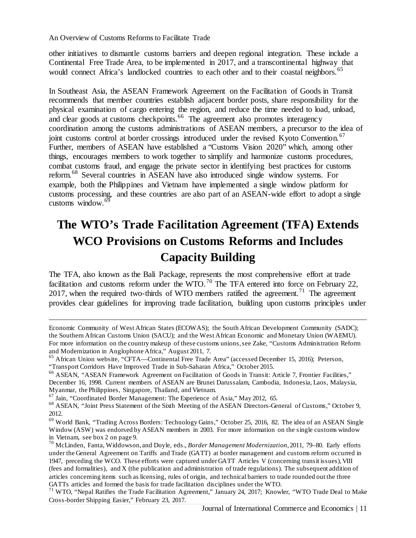other initiatives to dismantle customs barriers and deepen regional integration. These include a Continental Free Trade Area, to be implemented in 2017, and a transcontinental highway that would connect Africa's landlocked countries to each other and to their coastal neighbors.<sup>[65](#page-10-0)</sup>

In Southeast Asia, the ASEAN Framework Agreement on the Facilitation of Goods in Transit recommends that member countries establish adjacent border posts, share responsibility for the physical examination of cargo entering the region, and reduce the time needed to load, unload, and clear goods at customs checkpoints.<sup>[66](#page-10-1)</sup> The agreement also promotes interagency coordination among the customs administrations of ASEAN members, a precursor to the idea of joint customs control at border crossings introduced under the revised Kyoto Convention.<sup>[67](#page-10-2)</sup> Further, members of ASEAN have established a "Customs Vision 2020" which, among other things, encourages members to work together to simplify and harmonize customs procedures, combat customs fraud, and engage the private sector in identifying best practices for customs reform.[68](#page-10-3) Several countries in ASEAN have also introduced single window systems. For example, both the Philippines and Vietnam have implemented a single window platform for customs processing, and these countries are also part of an ASEAN-wide effort to adopt a single customs window. $69$ 

# **The WTO's Trade Facilitation Agreement (TFA) Extends WCO Provisions on Customs Reforms and Includes Capacity Building**

The TFA, also known as the Bali Package, represents the most comprehensive effort at trade facilitation and customs reform under the WTO.<sup>[70](#page-10-5)</sup> The TFA entered into force on February 22, 2017, when the required two-thirds of WTO members ratified the agreement.<sup>[71](#page-10-6)</sup> The agreement provides clear guidelines for improving trade facilitation, building upon customs principles under

Economic Community of West African States (ECOWAS); the South African Development Community (SADC); the Southern African Customs Union (SACU); and the West African Economic and Monetary Union (WAEMU). For more information on the country makeup of these customs unions, see Zake, "Customs Administration Reform and Modernization in Anglophone Africa," August 2011, 7.

<span id="page-10-0"></span><sup>&</sup>lt;sup>65</sup> African Union website, "CFTA—Continental Free Trade Area" (accessed December 15, 2016); Peterson, "Transport Corridors Have Improved Trade in Sub-Saharan Africa," October 2015.

<span id="page-10-1"></span><sup>&</sup>lt;sup>66</sup> ASEAN, "ASEAN Framework Agreement on Facilitation of Goods in Transit: Article 7, Frontier Facilities," December 16, 1998. Current members of ASEAN are Brunei Darussalam, Cambodia, Indonesia, Laos, Malaysia,

Myanmar, the Philippines, Singapore, Thailand, and Vietnam.

<span id="page-10-2"></span><sup>&</sup>lt;sup>67</sup> Jain, "Coordinated Border Management: The Experience of Asia," May 2012, 65.

<span id="page-10-3"></span><sup>68</sup> ASEAN, "Joint Press Statement of the Sixth Meeting of the ASEAN Directors-General of Customs," October 9, 2012.

<span id="page-10-4"></span><sup>69</sup> World Bank, "Trading Across Borders: Technology Gains," October 25, 2016, 82. The idea of an ASEAN Single Window (ASW) was endorsed by ASEAN members in 2003. For more information on the single customs window in Vietnam, see box 2 on page 9.

<span id="page-10-5"></span><sup>70</sup> McLinden, Fanta, Widdowson, and Doyle, eds., *Border Management Modernization*, 2011, 79–80. Early efforts under the General Agreement on Tariffs and Trade (GATT) at border management and customs reform occurred in 1947, preceding the WCO. These efforts were captured under GATT Articles V (concerning transit issues), VIII (fees and formalities), and X (the publication and administration of trade regulations). The subsequent addition of articles concerning items such as licensing, rules of origin, and technical barriers to trade rounded out the three GATTs articles and formed the basis for trade facilitation disciplines under the WTO.

<span id="page-10-6"></span><sup>&</sup>lt;sup>71</sup> WTO, "Nepal Ratifies the Trade Facilitation Agreement," January 24, 2017; Knowler, "WTO Trade Deal to Make Cross-border Shipping Easier," February 23, 2017.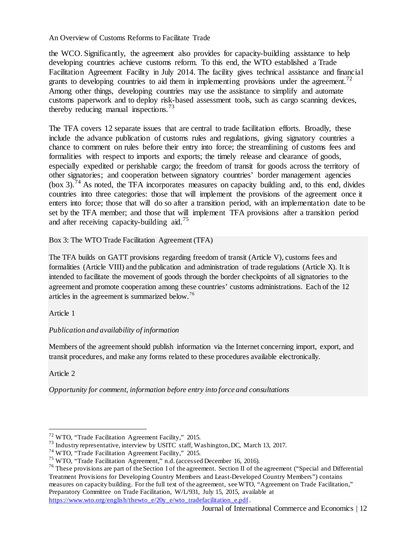the WCO. Significantly, the agreement also provides for capacity-building assistance to help developing countries achieve customs reform. To this end, the WTO established a Trade Facilitation Agreement Facility in July 2014. The facility gives technical assistance and financial grants to developing countries to aid them in implementing provisions under the agreement.<sup>[72](#page-11-0)</sup> Among other things, developing countries may use the assistance to simplify and automate customs paperwork and to deploy risk-based assessment tools, such as cargo scanning devices, thereby reducing manual inspections. $73$ 

The TFA covers 12 separate issues that are central to trade facilitation efforts. Broadly, these include the advance publication of customs rules and regulations, giving signatory countries a chance to comment on rules before their entry into force; the streamlining of customs fees and formalities with respect to imports and exports; the timely release and clearance of goods, especially expedited or perishable cargo; the freedom of transit for goods across the territory of other signatories; and cooperation between signatory countries' border management agencies  $(b\alpha x)$ , <sup>[74](#page-11-2)</sup> As noted, the TFA incorporates measures on capacity building and, to this end, divides countries into three categories: those that will implement the provisions of the agreement once it enters into force; those that will do so after a transition period, with an implementation date to be set by the TFA member; and those that will implement TFA provisions after a transition period and after receiving capacity-building aid.<sup>[75](#page-11-3)</sup>

Box 3: The WTO Trade Facilitation Agreement (TFA)

The TFA builds on GATT provisions regarding freedom of transit (Article V), customs fees and formalities (Article VIII) and the publication and administration of trade regulations (Article X). It is intended to facilitate the movement of goods through the border checkpoints of all signatories to the agreement and promote cooperation among these countries' customs administrations. Each of the 12 articles in the agreement is summarized below. [76](#page-11-4)

Article 1

#### *Publication and availability of information*

Members of the agreement should publish information via the Internet concerning import, export, and transit procedures, and make any forms related to these procedures available electronically.

Article 2

 $\overline{a}$ 

*Opportunity for comment, information before entry into force and consultations*

<span id="page-11-0"></span><sup>72</sup> WTO, "Trade Facilitation Agreement Facility," 2015.

<span id="page-11-1"></span><sup>&</sup>lt;sup>73</sup> Industry representative, interview by USITC staff, Washington, DC, March 13, 2017.

<span id="page-11-2"></span><sup>74</sup> WTO, "Trade Facilitation Agreement Facility," 2015.

<span id="page-11-3"></span><sup>75</sup> WTO, "Trade Facilitation Agreement," n.d. (accessed December 16, 2016).

<span id="page-11-4"></span> $76$  These provisions are part of the Section I of the agreement. Section II of the agreement ("Special and Differential Treatment Provisions for Developing Country Members and Least-Developed Country Members") contains measures on capacity building. For the full text of the agreement, see WTO, "Agreement on Trade Facilitation," Preparatory Committee on Trade Facilitation, W/L/931, July 15, 2015, available at [https://www.wto.org/english/thewto\\_e/20y\\_e/wto\\_tradefacilitation\\_e.pdf.](https://www.wto.org/english/thewto_e/20y_e/wto_tradefacilitation_e.pdf)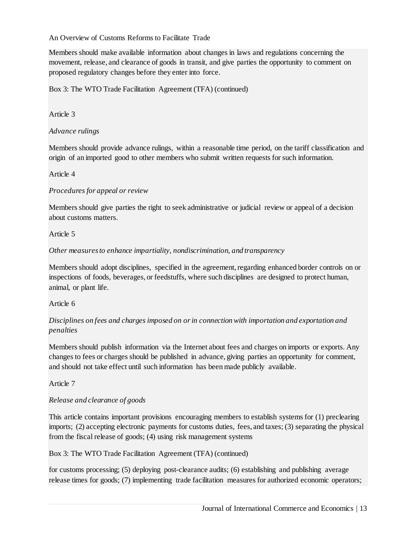Members should make available information about changes in laws and regulations concerning the movement, release, and clearance of goods in transit, and give parties the opportunity to comment on proposed regulatory changes before they enter into force.

Box 3: The WTO Trade Facilitation Agreement (TFA) (continued)

Article 3

#### *Advance rulings*

Members should provide advance rulings, within a reasonable time period, on the tariff classification and origin of an imported good to other members who submit written requests for such information.

#### Article 4

#### *Procedures for appeal or review*

Members should give parties the right to seek administrative or judicial review or appeal of a decision about customs matters.

#### Article 5

#### *Other measures to enhance impartiality, nondiscrimination, and transparency*

Members should adopt disciplines, specified in the agreement, regarding enhanced border controls on or inspections of foods, beverages, or feedstuffs, where such disciplines are designed to protect human, animal, or plant life.

#### Article 6

#### *Disciplines on fees and charges imposed on or in connection with importation and exportation and penalties*

Members should publish information via the Internet about fees and charges on imports or exports. Any changes to fees or charges should be published in advance, giving parties an opportunity for comment, and should not take effect until such information has been made publicly available.

#### Article 7

#### *Release and clearance of goods*

This article contains important provisions encouraging members to establish systems for (1) preclearing imports; (2) accepting electronic payments for customs duties, fees, and taxes; (3) separating the physical from the fiscal release of goods; (4) using risk management systems

#### Box 3: The WTO Trade Facilitation Agreement (TFA) (continued)

for customs processing; (5) deploying post-clearance audits; (6) establishing and publishing average release times for goods; (7) implementing trade facilitation measures for authorized economic operators;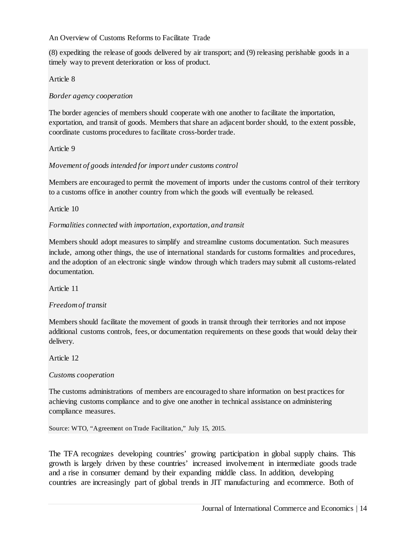(8) expediting the release of goods delivered by air transport; and (9) releasing perishable goods in a timely way to prevent deterioration or loss of product.

#### Article 8

#### *Border agency cooperation*

The border agencies of members should cooperate with one another to facilitate the importation, exportation, and transit of goods. Members that share an adjacent border should, to the extent possible, coordinate customs procedures to facilitate cross-border trade.

#### Article 9

#### *Movement of goods intended for import under customs control*

Members are encouraged to permit the movement of imports under the customs control of their territory to a customs office in another country from which the goods will eventually be released.

#### Article 10

#### *Formalities connected with importation, exportation, and transit*

Members should adopt measures to simplify and streamline customs documentation. Such measures include, among other things, the use of international standards for customs formalities and procedures, and the adoption of an electronic single window through which traders may submit all customs-related documentation.

Article 11

#### *Freedom of transit*

Members should facilitate the movement of goods in transit through their territories and not impose additional customs controls, fees, or documentation requirements on these goods that would delay their delivery.

Article 12

#### *Customs cooperation*

The customs administrations of members are encouraged to share information on best practices for achieving customs compliance and to give one another in technical assistance on administering compliance measures.

Source: WTO, "Agreement on Trade Facilitation," July 15, 2015.

The TFA recognizes developing countries' growing participation in global supply chains. This growth is largely driven by these countries' increased involvement in intermediate goods trade and a rise in consumer demand by their expanding middle class. In addition, developing countries are increasingly part of global trends in JIT manufacturing and ecommerce. Both of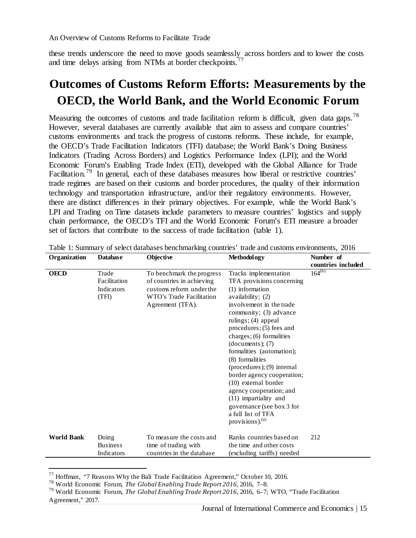these trends underscore the need to move goods seamlessly across borders and to lower the costs and time delays arising from NTMs at border checkpoints.<sup>[77](#page-14-0)</sup>

# **Outcomes of Customs Reform Efforts: Measurements by the OECD, the World Bank, and the World Economic Forum**

Measuring the outcomes of customs and trade facilitation reform is difficult, given data gaps.<sup>[78](#page-14-1)</sup> However, several databases are currently available that aim to assess and compare countries' customs environments and track the progress of customs reforms. These include, for example, the OECD's Trade Facilitation Indicators (TFI) database; the World Bank's Doing Business Indicators (Trading Across Borders) and Logistics Performance Index (LPI); and the World Economic Forum's Enabling Trade Index (ETI), developed with the Global Alliance for Trade Facilitation.<sup>[79](#page-14-2)</sup> In general, each of these databases measures how liberal or restrictive countries' trade regimes are based on their customs and border procedures, the quality of their information technology and transportation infrastructure, and/or their regulatory environments. However, there are distinct differences in their primary objectives. For example, while the World Bank's LPI and Trading on Time datasets include parameters to measure countries' logistics and supply chain performance, the OECD's TFI and the World Economic Forum's ETI measure a broader set of factors that contribute to the success of trade facilitation (table 1).

| Organization      | Objective<br>Methodol ogy<br><b>Database</b> |                                                                                                                                    | Number of                                                                                                                                                                                                                                                                                                                                                                                                                                                                                                                |                    |
|-------------------|----------------------------------------------|------------------------------------------------------------------------------------------------------------------------------------|--------------------------------------------------------------------------------------------------------------------------------------------------------------------------------------------------------------------------------------------------------------------------------------------------------------------------------------------------------------------------------------------------------------------------------------------------------------------------------------------------------------------------|--------------------|
|                   |                                              |                                                                                                                                    |                                                                                                                                                                                                                                                                                                                                                                                                                                                                                                                          | countries included |
| <b>OECD</b>       | Trade<br>Facilitation<br>Indicators<br>(TFI) | To benchmark the progress<br>of countries in achieving<br>customs reform under the<br>WTO's Trade Facilitation<br>Agreement (TFA). | Tracks implementation<br>TFA provisions concerning<br>(1) information<br>availability; (2)<br>involvement in the trade<br>community; (3) advance<br>rulings; $(4)$ appeal<br>procedures; (5) fees and<br>charges; (6) formalities<br>(documents); (7)<br>formalities (automation);<br>(8) formalities<br>$(procedures); (9) internal$<br>border agency cooperation;<br>(10) external border<br>agency cooperation; and<br>(11) impartiality and<br>governance (see box 3 for<br>a full list of TFA<br>provisions). $(a)$ | $164^{(b)}$        |
| <b>World Bank</b> | Doing<br><b>Business</b><br>Indicators       | To measure the costs and<br>time of trading with<br>countries in the database                                                      | Ranks countries based on<br>the time and other costs<br>(excluding tariffs) needed                                                                                                                                                                                                                                                                                                                                                                                                                                       | 212                |

<span id="page-14-0"></span> $^{77}$  Hoffman, "7 Reasons Why the Bali Trade Facilitation Agreement," October 10, 2016.

<span id="page-14-1"></span><sup>78</sup> World Economic Forum, *The Global Enabling Trade Report 2016,* 2016, 7–8.

<span id="page-14-2"></span><sup>79</sup> World Economic Forum, *The Global Enabling Trade Report 2016,* 2016, 6–7; WTO, "Trade Facilitation Agreement," 2017.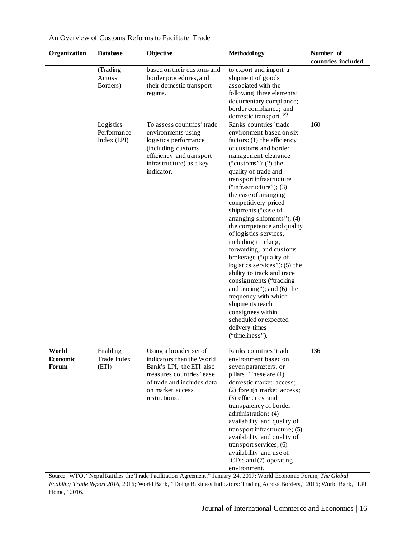| Organization                      | <b>Database</b>                         | Objective                                                                                                                                                                      | Methodol ogy                                                                                                                                                                                                                                                                                                                                                                                                                                                                                                                                                                                                                                                                                                                                    | Number of          |
|-----------------------------------|-----------------------------------------|--------------------------------------------------------------------------------------------------------------------------------------------------------------------------------|-------------------------------------------------------------------------------------------------------------------------------------------------------------------------------------------------------------------------------------------------------------------------------------------------------------------------------------------------------------------------------------------------------------------------------------------------------------------------------------------------------------------------------------------------------------------------------------------------------------------------------------------------------------------------------------------------------------------------------------------------|--------------------|
|                                   |                                         |                                                                                                                                                                                |                                                                                                                                                                                                                                                                                                                                                                                                                                                                                                                                                                                                                                                                                                                                                 | countries included |
|                                   | (Trading<br>Across<br>Borders)          | based on their customs and<br>border procedures, and<br>their domestic transport<br>regime.                                                                                    | to export and import a<br>shipment of goods<br>associated with the<br>following three elements:<br>documentary compliance;<br>border compliance; and<br>domestic transport. <sup>(c)</sup>                                                                                                                                                                                                                                                                                                                                                                                                                                                                                                                                                      |                    |
|                                   | Logistics<br>Performance<br>Index (LPI) | To assess countries' trade<br>environments using<br>logistics performance<br>(including customs<br>efficiency and transport<br>infrastructure) as a key<br>indicator.          | Ranks countries' trade<br>environment based on six<br>$factors: (1)$ the efficiency<br>of customs and border<br>management clearance<br>("customs"); (2) the<br>quality of trade and<br>transport infrastructure<br>("infrastructure"); $(3)$<br>the ease of arranging<br>competitively priced<br>shipments ("ease of<br>arranging shipments"); (4)<br>the competence and quality<br>of logistics services,<br>including trucking,<br>forwarding, and customs<br>brokerage ("quality of<br>logistics services"); $(5)$ the<br>ability to track and trace<br>consignments ("tracking<br>and tracing"); and (6) the<br>frequency with which<br>shipments reach<br>consignees within<br>scheduled or expected<br>delivery times<br>("timeliness"). | 160                |
| World<br>Economic<br><b>Forum</b> | Enabling<br>Trade Index<br>(ETI)        | Using a broader set of<br>indicators than the World<br>Bank's LPI, the ETI also<br>measures countries' ease<br>of trade and includes data<br>on market access<br>restrictions. | Ranks countries' trade<br>environment based on<br>seven parameters, or<br>pillars. These are (1)<br>domestic market access;<br>(2) foreign market access;<br>(3) efficiency and<br>transparency of border<br>administration; (4)<br>availability and quality of<br>transport infrastructure; (5)<br>availability and quality of<br>transport services; (6)<br>availability and use of<br>ICTs; and (7) operating<br>environment.                                                                                                                                                                                                                                                                                                                | 136                |

Source: WTO, "Nepal Ratifies the Trade Facilitation Agreement," January 24, 2017; World Economic Forum, *The Global Enabling Trade Report 2016,* 2016; World Bank, "Doing Business Indicators: Trading Across Borders," 2016; World Bank, "LPI Home," 2016.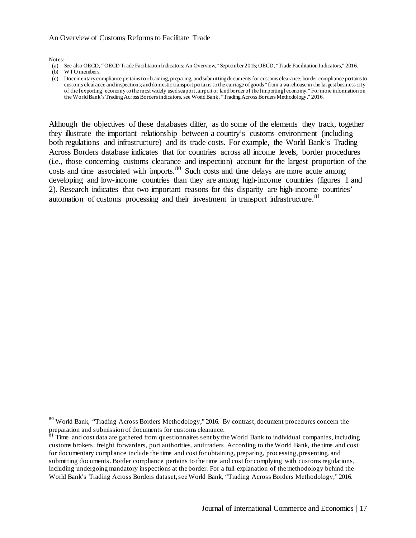Notes:

- (a) See also OECD, "OECD Trade Facilitation Indicators: An Overview," September 2015; OECD, "Trade Facilitation Indicators," 2016.
- (b) WTO members.
- (c) Documentary compliance pertains to obtaining, preparing, and submitting documents for customs clearance; border compliance pertains to customs clearance and inspections; and domestic transport pertains to the carriage of goods "from a warehouse in the largest business city of the [exporting] economy to the most widely used seaport, airport or land border of the [importing] economy." For more information on the World Bank's Trading Across Borders indicators, see World Bank, "Trading Across Borders Methodology," 2016.

Although the objectives of these databases differ, as do some of the elements they track, together they illustrate the important relationship between a country's customs environment (including both regulations and infrastructure) and its trade costs. For example, the World Bank's Trading Across Borders database indicates that for countries across all income levels, border procedures (i.e., those concerning customs clearance and inspection) account for the largest proportion of the costs and time associated with imports.<sup>[80](#page-16-0)</sup> Such costs and time delays are more acute among developing and low-income countries than they are among high-income countries (figures 1 and 2). Research indicates that two important reasons for this disparity are high-income countries' automation of customs processing and their investment in transport infrastructure. $81$ 

<span id="page-16-0"></span> <sup>80</sup> World Bank, "Trading Across Borders Methodology," 2016. By contrast, document procedures concern the preparation and submission of documents for customs clearance.

<span id="page-16-1"></span> $\frac{1}{2}$  Time and cost data are gathered from questionnaires sent by the World Bank to individual companies, including customs brokers, freight forwarders, port authorities, and traders. According to the World Bank, the time and cost for documentary compliance include the time and cost for obtaining, preparing, processing, presenting, and submitting documents. Border compliance pertains to the time and cost for complying with customs regulations, including undergoing mandatory inspections at the border. For a full explanation of the methodology behind the World Bank's Trading Across Borders dataset, see World Bank, "Trading Across Borders Methodology," 2016.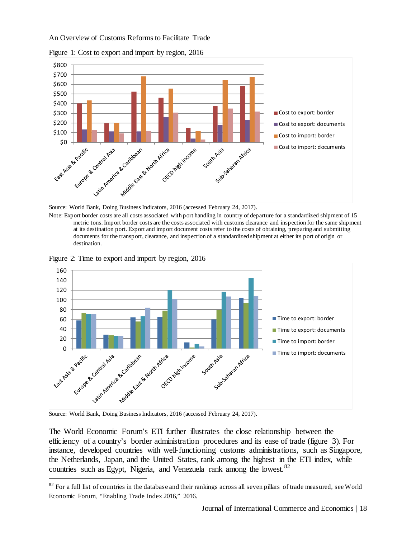

Figure 1: Cost to export and import by region, 2016



Note: Export border costs are all costs associated with port handling in country of departure for a standardized shipment of 15 metric tons. Import border costs are the costs associated with customs clearance and inspection for the same shipment at its destination port. Export and import document costs refer to the costs of obtaining, preparing and submitting documents for the transport, clearance, and inspection of a standardized shipment at either its port of origin or destination.



Figure 2: Time to export and import by region, 2016

Source: World Bank, Doing Business Indicators, 2016 (accessed February 24, 2017).

 $\overline{a}$ 

The World Economic Forum's ETI further illustrates the close relationship between the efficiency of a country's border administration procedures and its ease of trade (figure 3). For instance, developed countries with well-functioning customs administrations, such as Singapore, the Netherlands, Japan, and the United States, rank among the highest in the ETI index, while countries such as Egypt, Nigeria, and Venezuela rank among the lowest.<sup>[82](#page-17-0)</sup>

<span id="page-17-0"></span> $82$  For a full list of countries in the database and their rankings across all seven pillars of trade measured, see World Economic Forum, "Enabling Trade Index 2016," 2016.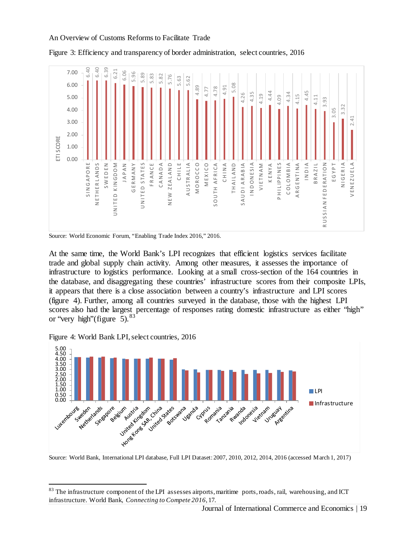

Figure 3: Efficiency and transparency of border administration, select countries, 2016

At the same time, the World Bank's LPI recognizes that efficient logistics services facilitate trade and global supply chain activity. Among other measures, it assesses the importance of infrastructure to logistics performance. Looking at a small cross-section of the 164 countries in the database, and disaggregating these countries' infrastructure scores from their composite LPIs, it appears that there is a close association between a country's infrastructure and LPI scores (figure 4). Further, among all countries surveyed in the database, those with the highest LPI scores also had the largest percentage of responses rating domestic infrastructure as either "high" or "very high" (figure  $5$ ).  $83$ 

Figure 4: World Bank LPI, select countries, 2016



Source: World Economic Forum, "Enabling Trade Index 2016," 2016.

<span id="page-18-0"></span><sup>&</sup>lt;sup>83</sup> The infrastructure component of the LPI assesses airports, maritime ports, roads, rail, warehousing, and ICT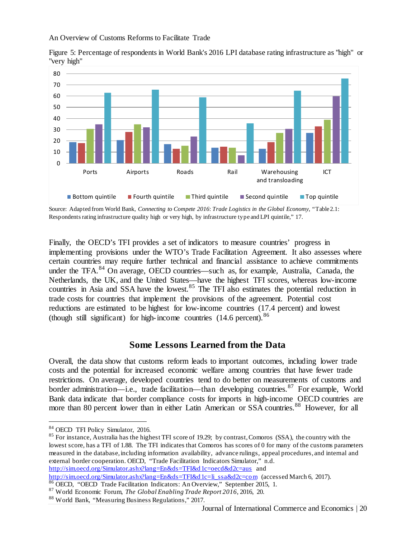

Figure 5: Percentage of respondents in World Bank's 2016 LPI database rating infrastructure as "high" or "very high"

Source: Adapted from World Bank, *Connecting to Compete 2016*: *Trade Logistics in the Global Economy*, "Table 2.1: Respondents rating infrastructure quality high or very high, by infrastructure type and LPI quintile," 17.

Finally, the OECD's TFI provides a set of indicators to measure countries' progress in implementing provisions under the WTO's Trade Facilitation Agreement. It also assesses where certain countries may require further technical and financial assistance to achieve commitments under the TFA.<sup>[84](#page-19-0)</sup> On average, OECD countries—such as, for example, Australia, Canada, the Netherlands, the UK, and the United States—have the highest TFI scores, whereas low-income countries in Asia and SSA have the lowest.<sup>[85](#page-19-1)</sup> The TFI also estimates the potential reduction in trade costs for countries that implement the provisions of the agreement. Potential cost reductions are estimated to be highest for low-income countries (17.4 percent) and lowest (though still significant) for high-income countries  $(14.6 \text{ percent})$ .<sup>[86](#page-19-2)</sup>

#### **Some Lessons Learned from the Data**

Overall, the data show that customs reform leads to important outcomes, including lower trade costs and the potential for increased economic welfare among countries that have fewer trade restrictions. On average, developed countries tend to do better on measurements of customs and border administration—i.e., trade facilitation—than developing countries.<sup>[87](#page-19-3)</sup> For example, World Bank data indicate that border compliance costs for imports in high-income OECD countries are more than 80 percent lower than in either Latin American or SSA countries.<sup>[88](#page-19-4)</sup> However, for all

 $\overline{a}$ 

<span id="page-19-1"></span><sup>85</sup> For instance, Australia has the highest TFI score of 19.29; by contrast, Comoros (SSA), the country with the lowest score, has a TFI of 1.88. The TFI indicates that Comoros has scores of 0 for many of the customs parameters measured in the database, including information availability, advance rulings, appeal procedures, and internal and external border cooperation. OECD, "Trade Facilitation Indicators Simulator," n.d. <http://sim.oecd.org/Simulator.ashx?lang=En&ds=TFI&d1c=oecd&d2c=aus> and

[http://sim.oecd.org/Simulator.ashx?lang=En&ds=TFI&d1c=li\\_ssa&d2c=com](http://sim.oecd.org/Simulator.ashx?lang=En&ds=TFI&d1c=li_ssa&d2c=com) (accessed March 6, 2017).

<span id="page-19-0"></span><sup>84</sup> OECD TFI Policy Simulator, 2016.

<sup>&</sup>lt;sup>86</sup> OECD, "OECD Trade Facilitation Indicators: An Overview," September 2015, 1.

<span id="page-19-3"></span><span id="page-19-2"></span><sup>87</sup> World Economic Forum, *The Global Enabling Trade Report 2016,* 2016, 20.

<span id="page-19-4"></span><sup>88</sup> World Bank, "Measuring Business Regulations," 2017.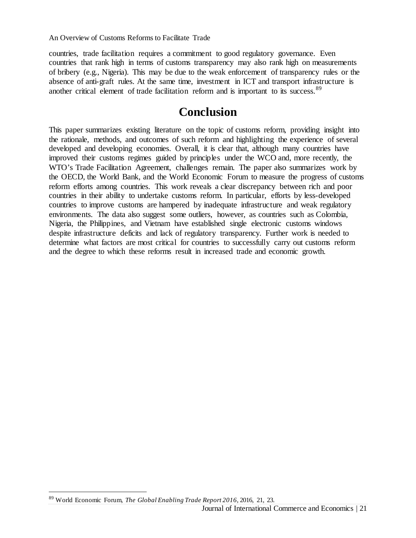countries, trade facilitation requires a commitment to good regulatory governance. Even countries that rank high in terms of customs transparency may also rank high on measurements of bribery (e.g., Nigeria). This may be due to the weak enforcement of transparency rules or the absence of anti-graft rules. At the same time, investment in ICT and transport infrastructure is another critical element of trade facilitation reform and is important to its success.<sup>[89](#page-20-0)</sup>

### **Conclusion**

This paper summarizes existing literature on the topic of customs reform, providing insight into the rationale, methods, and outcomes of such reform and highlighting the experience of several developed and developing economies. Overall, it is clear that, although many countries have improved their customs regimes guided by principles under the WCO and, more recently, the WTO's Trade Facilitation Agreement, challenges remain. The paper also summarizes work by the OECD, the World Bank, and the World Economic Forum to measure the progress of customs reform efforts among countries. This work reveals a clear discrepancy between rich and poor countries in their ability to undertake customs reform. In particular, efforts by less-developed countries to improve customs are hampered by inadequate infrastructure and weak regulatory environments. The data also suggest some outliers, however, as countries such as Colombia, Nigeria, the Philippines, and Vietnam have established single electronic customs windows despite infrastructure deficits and lack of regulatory transparency. Further work is needed to determine what factors are most critical for countries to successfully carry out customs reform and the degree to which these reforms result in increased trade and economic growth.

<span id="page-20-0"></span>Journal of International Commerce and Economics | 21  $\overline{a}$ <sup>89</sup> World Economic Forum, *The Global Enabling Trade Report 2016*, 2016, 21, 23.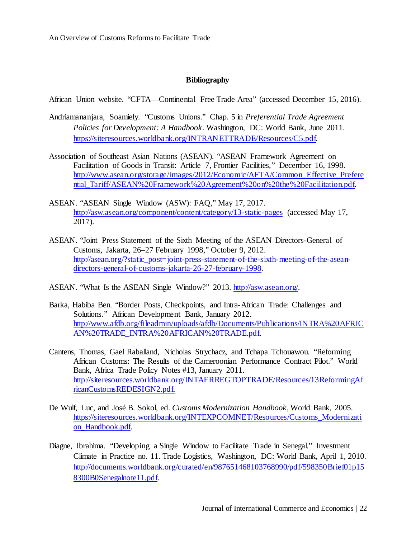#### **Bibliography**

African Union website. "CFTA—Continental Free Trade Area" (accessed December 15, 2016).

- Andriamananjara, Soamiely. "Customs Unions." Chap. 5 in *Preferential Trade Agreement Policies for Development: A Handbook*. Washington, DC: World Bank, June 2011. [https://siteresources.worldbank.org/INTRANETTRADE/Resources/C5.pdf.](https://siteresources.worldbank.org/INTRANETTRADE/Resources/C5.pdf)
- Association of Southeast Asian Nations (ASEAN). "ASEAN Framework Agreement on Facilitation of Goods in Transit: Article 7, Frontier Facilities," December 16, 1998. [http://www.asean.org/storage/images/2012/Economic/AFTA/Common\\_Effective\\_Prefere](http://www.asean.org/storage/images/2012/Economic/AFTA/Common_Effective_Preferential_Tariff/ASEAN%20Framework%20Agreement%20on%20the%20Facilitation.pdf) [ntial\\_Tariff/ASEAN%20Framework%20Agreement%20on%20the%20Facilitation.pdf.](http://www.asean.org/storage/images/2012/Economic/AFTA/Common_Effective_Preferential_Tariff/ASEAN%20Framework%20Agreement%20on%20the%20Facilitation.pdf)
- ASEAN. "ASEAN Single Window (ASW): FAQ," May 17, 2017. <http://asw.asean.org/component/content/category/13-static-pages> (accessed May 17, 2017).
- ASEAN. "Joint Press Statement of the Sixth Meeting of the ASEAN Directors-General of Customs, Jakarta, 26–27 February 1998," October 9, 2012. [http://asean.org/?static\\_post=joint-press-statement-of-the-sixth-meeting-of-the-asean](http://asean.org/?static_post=joint-press-statement-of-the-sixth-meeting-of-the-asean-directors-general-of-customs-jakarta-26-27-february-1998)[directors-general-of-customs-jakarta-26-27-february-1998.](http://asean.org/?static_post=joint-press-statement-of-the-sixth-meeting-of-the-asean-directors-general-of-customs-jakarta-26-27-february-1998)
- ASEAN. "What Is the ASEAN Single Window?" 2013. [http://asw.asean.org/.](http://asw.asean.org/)
- Barka, Habiba Ben. "Border Posts, Checkpoints, and Intra-African Trade: Challenges and Solutions." African Development Bank, January 2012. [http://www.afdb.org/fileadmin/uploads/afdb/Documents/Publications/INTRA%20AFRIC](http://www.afdb.org/fileadmin/uploads/afdb/Documents/Publications/INTRA%20AFRICAN%20TRADE_INTRA%20AFRICAN%20TRADE.pdf) [AN%20TRADE\\_INTRA%20AFRICAN%20TRADE.pdf.](http://www.afdb.org/fileadmin/uploads/afdb/Documents/Publications/INTRA%20AFRICAN%20TRADE_INTRA%20AFRICAN%20TRADE.pdf)
- Cantens, Thomas, Gael Raballand, Nicholas Strychacz, and Tchapa Tchouawou. "Reforming African Customs: The Results of the Cameroonian Performance Contract Pilot." World Bank, Africa Trade Policy Notes #13, January 2011. [http://siteresources.worldbank.org/INTAFRREGTOPTRADE/Resources/13ReformingAf](http://siteresources.worldbank.org/INTAFRREGTOPTRADE/Resources/13ReformingAfricanCustomsREDESIGN2.pdf) [ricanCustomsREDESIGN2.pdf.](http://siteresources.worldbank.org/INTAFRREGTOPTRADE/Resources/13ReformingAfricanCustomsREDESIGN2.pdf)
- De Wulf, Luc, and José B. Sokol, ed. *Customs Modernization Handbook*, World Bank, 2005. [https://siteresources.worldbank.org/INTEXPCOMNET/Resources/Customs\\_Modernizati](https://siteresources.worldbank.org/INTEXPCOMNET/Resources/Customs_Modernization_Handbook.pdf) [on\\_Handbook.pdf.](https://siteresources.worldbank.org/INTEXPCOMNET/Resources/Customs_Modernization_Handbook.pdf)
- Diagne, Ibrahima. "Developing a Single Window to Facilitate Trade in Senegal." Investment Climate in Practice no. 11. Trade Logistics, Washington, DC: World Bank, April 1, 2010. [http://documents.worldbank.org/curated/en/987651468103768990/pdf/598350Brief01p15](http://documents.worldbank.org/curated/en/987651468103768990/pdf/598350Brief01p158300B0Senegalnote11.pdf) [8300B0Senegalnote11.pdf.](http://documents.worldbank.org/curated/en/987651468103768990/pdf/598350Brief01p158300B0Senegalnote11.pdf)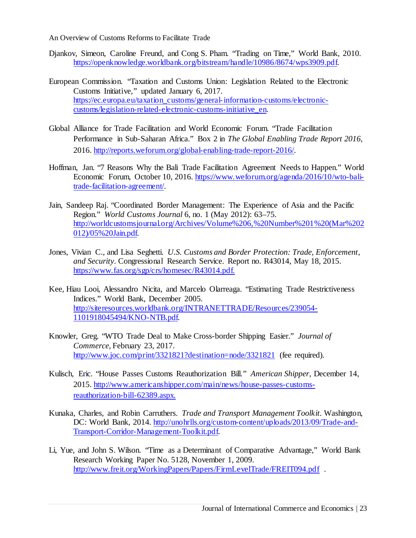- Djankov, Simeon, Caroline Freund, and Cong S. Pham. "Trading on Time," World Bank, 2010. [https://openknowledge.worldbank.org/bitstream/handle/10986/8674/wps3909.pdf.](https://openknowledge.worldbank.org/bitstream/handle/10986/8674/wps3909.pdf)
- European Commission. "Taxation and Customs Union: Legislation Related to the Electronic Customs Initiative," updated January 6, 2017. [https://ec.europa.eu/taxation\\_customs/general-information-customs/electronic](https://ec.europa.eu/taxation_customs/general-information-customs/electronic-customs/legislation-related-electronic-customs-initiative_en)[customs/legislation-related-electronic-customs-initiative\\_en.](https://ec.europa.eu/taxation_customs/general-information-customs/electronic-customs/legislation-related-electronic-customs-initiative_en)
- Global Alliance for Trade Facilitation and World Economic Forum. "Trade Facilitation Performance in Sub-Saharan Africa." Box 2 in *The Global Enabling Trade Report 2016,* 2016. [http://reports.weforum.org/global-enabling-trade-report-2016/.](http://reports.weforum.org/global-enabling-trade-report-2016/)
- Hoffman, Jan. "7 Reasons Why the Bali Trade Facilitation Agreement Needs to Happen." World Economic Forum, October 10, 2016. [https://www.weforum.org/agenda/2016/10/wto-bali](https://www.weforum.org/agenda/2016/10/wto-bali-trade-facilitation-agreement/)[trade-facilitation-agreement/.](https://www.weforum.org/agenda/2016/10/wto-bali-trade-facilitation-agreement/)
- Jain, Sandeep Raj. "Coordinated Border Management: The Experience of Asia and the Pacific Region." *World Customs Journal* 6, no. 1 (May 2012): 63–75. [http://worldcustomsjournal.org/Archives/Volume%206,%20Number%201%20\(Mar%202](http://worldcustomsjournal.org/Archives/Volume%206,%20Number%201%20(Mar%202012)/05%20Jain.pdf) [012\)/05%20Jain.pdf.](http://worldcustomsjournal.org/Archives/Volume%206,%20Number%201%20(Mar%202012)/05%20Jain.pdf)
- Jones, Vivian C., and Lisa Seghetti. *U.S. Customs and Border Protection: Trade, Enforcement, and Security*. Congressional Research Service. Report no. R43014, May 18, 2015. [https://www.fas.org/sgp/crs/homesec/R43014.pdf.](https://www.fas.org/sgp/crs/homesec/R43014.pdf)
- Kee, Hiau Looi, Alessandro Nicita, and Marcelo Olarreaga. "Estimating Trade Restrictiveness Indices." World Bank, December 2005. [http://siteresources.worldbank.org/INTRANETTRADE/Resources/239054-](http://siteresources.worldbank.org/INTRANETTRADE/Resources/239054-1101918045494/KNO-NTB.pdf) [1101918045494/KNO-NTB.pdf.](http://siteresources.worldbank.org/INTRANETTRADE/Resources/239054-1101918045494/KNO-NTB.pdf)
- Knowler, Greg. "WTO Trade Deal to Make Cross-border Shipping Easier." *Journal of Commerce*, February 23, 2017. <http://www.joc.com/print/3321821?destination=node/3321821> (fee required).
- Kulisch, Eric. "House Passes Customs Reauthorization Bill." *American Shipper*, December 14, 2015. [http://www.americanshipper.com/main/news/house-passes-customs](http://www.americanshipper.com/main/news/house-passes-customs-reauthorization-bill-62389.aspx)[reauthorization-bill-62389.aspx.](http://www.americanshipper.com/main/news/house-passes-customs-reauthorization-bill-62389.aspx)
- Kunaka, Charles, and Robin Carruthers. *Trade and Transport Management Toolkit.* Washington, DC: World Bank, 2014. [http://unohrlls.org/custom-content/uploads/2013/09/Trade-and-](http://unohrlls.org/custom-content/uploads/2013/09/Trade-and-Transport-Corridor-Management-Toolkit.pdf)[Transport-Corridor-Management-Toolkit.pdf.](http://unohrlls.org/custom-content/uploads/2013/09/Trade-and-Transport-Corridor-Management-Toolkit.pdf)
- Li, Yue, and John S. Wilson. "Time as a Determinant of Comparative Advantage," World Bank Research Working Paper No. 5128, November 1, 2009. <http://www.freit.org/WorkingPapers/Papers/FirmLevelTrade/FREIT094.pdf> .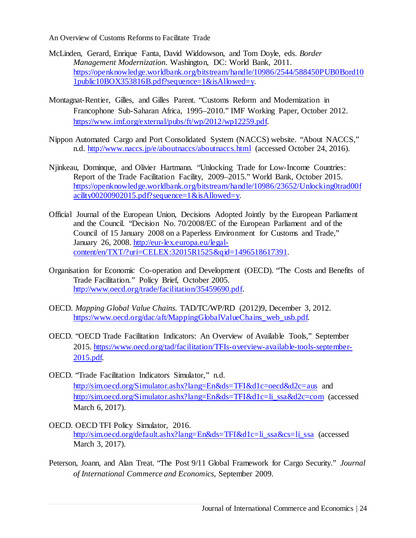- McLinden, Gerard, Enrique Fanta, David Widdowson, and Tom Doyle, eds. *Border Management Modernization*. Washington, DC: World Bank, 2011. [https://openknowledge.worldbank.org/bitstream/handle/10986/2544/588450PUB0Bord10](https://openknowledge.worldbank.org/bitstream/handle/10986/2544/588450PUB0Bord101public10BOX353816B.pdf?sequence=1&isAllowed=y) [1public10BOX353816B.pdf?sequence=1&isAllowed=y.](https://openknowledge.worldbank.org/bitstream/handle/10986/2544/588450PUB0Bord101public10BOX353816B.pdf?sequence=1&isAllowed=y)
- Montagnat-Rentier, Gilles, and Gilles Parent. "Customs Reform and Modernization in Francophone Sub-Saharan Africa, 1995–2010." IMF Working Paper, October 2012. [https://www.imf.org/external/pubs/ft/wp/2012/wp12259.pdf.](https://www.imf.org/external/pubs/ft/wp/2012/wp12259.pdf)
- Nippon Automated Cargo and Port Consolidated System (NACCS) website. "About NACCS," n.d.<http://www.naccs.jp/e/aboutnaccs/aboutnaccs.html> (accessed October 24, 2016).
- Njinkeau, Dominque, and Olivier Hartmann. "Unlocking Trade for Low-Income Countries: Report of the Trade Facilitation Facility, 2009–2015." World Bank, October 2015. [https://openknowledge.worldbank.org/bitstream/handle/10986/23652/Unlocking0trad00f](https://openknowledge.worldbank.org/bitstream/handle/10986/23652/Unlocking0trad00facility00200902015.pdf?sequence=1&isAllowed=y)  $\alpha$ cility00200902015.pdf?sequence=1&isAllowed=y.
- Official Journal of the European Union, Decisions Adopted Jointly by the European Parliament and the Council. "Decision No. 70/2008/EC of the European Parliament and of the Council of 15 January 2008 on a Paperless Environment for Customs and Trade," January 26, 2008. [http://eur-lex.europa.eu/legal](http://eur-lex.europa.eu/legal-content/en/TXT/?uri=CELEX:32015R1525&qid=1496518617391)[content/en/TXT/?uri=CELEX:32015R1525&qid=1496518617391.](http://eur-lex.europa.eu/legal-content/en/TXT/?uri=CELEX:32015R1525&qid=1496518617391)
- Organisation for Economic Co-operation and Development (OECD). "The Costs and Benefits of Trade Facilitation." Policy Brief, October 2005. [http://www.oecd.org/trade/facilitation/35459690.pdf.](http://www.oecd.org/trade/facilitation/35459690.pdf)
- OECD. *Mapping Global Value Chains.* TAD/TC/WP/RD (2012)9, December 3, 2012. [https://www.oecd.org/dac/aft/MappingGlobalValueChains\\_web\\_usb.pdf.](https://www.oecd.org/dac/aft/MappingGlobalValueChains_web_usb.pdf)
- OECD. "OECD Trade Facilitation Indicators: An Overview of Available Tools," September 2015. [https://www.oecd.org/tad/facilitation/TFIs-overview-available-tools-september-](https://www.oecd.org/tad/facilitation/TFIs-overview-available-tools-september-2015.pdf)[2015.pdf.](https://www.oecd.org/tad/facilitation/TFIs-overview-available-tools-september-2015.pdf)
- OECD. "Trade Facilitation Indicators Simulator," n.d. <http://sim.oecd.org/Simulator.ashx?lang=En&ds=TFI&d1c=oecd&d2c=aus> and [http://sim.oecd.org/Simulator.ashx?lang=En&ds=TFI&d1c=li\\_ssa&d2c=com](http://sim.oecd.org/Simulator.ashx?lang=En&ds=TFI&d1c=li_ssa&d2c=com) (accessed March 6, 2017).
- OECD. OECD TFI Policy Simulator, 2016. [http://sim.oecd.org/default.ashx?lang=En&ds=TFI&d1c=li\\_ssa&cs=li\\_ssa](http://sim.oecd.org/default.ashx?lang=En&ds=TFI&d1c=li_ssa&cs=li_ssa) (accessed March 3, 2017).
- Peterson, Joann, and Alan Treat. "The Post 9/11 Global Framework for Cargo Security." *Journal of International Commerce and Economics*, September 2009.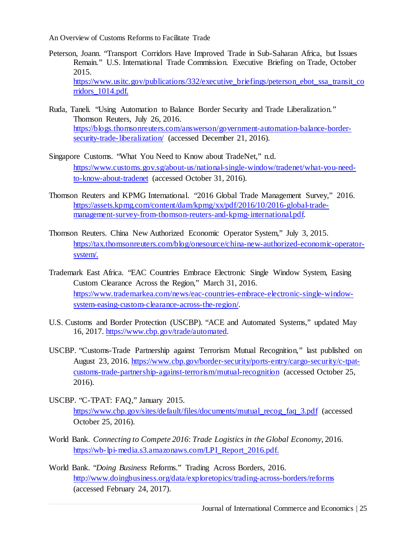- Peterson, Joann. "Transport Corridors Have Improved Trade in Sub-Saharan Africa, but Issues Remain." U.S. International Trade Commission. Executive Briefing on Trade, October 2015. https://www.usitc.gov/publications/332/executive briefings/peterson ebot ssa transit co [rridors\\_1014.pdf.](https://www.usitc.gov/publications/332/executive_briefings/peterson_ebot_ssa_transit_corridors_1014.pdf)
- Ruda, Taneli. "Using Automation to Balance Border Security and Trade Liberalization." Thomson Reuters, July 26, 2016. [https://blogs.thomsonreuters.com/answerson/government-automation-balance-border](https://blogs.thomsonreuters.com/answerson/government-automation-balance-border-security-trade-liberalization/)[security-trade-liberalization/](https://blogs.thomsonreuters.com/answerson/government-automation-balance-border-security-trade-liberalization/) (accessed December 21, 2016).
- Singapore Customs. "What You Need to Know about TradeNet," n.d. [https://www.customs.gov.sg/about-us/national-single-window/tradenet/what-you-need](https://www.customs.gov.sg/about-us/national-single-window/tradenet/what-you-need-to-know-about-tradenet)[to-know-about-tradenet](https://www.customs.gov.sg/about-us/national-single-window/tradenet/what-you-need-to-know-about-tradenet) (accessed October 31, 2016).
- Thomson Reuters and KPMG International. "2016 Global Trade Management Survey," 2016. [https://assets.kpmg.com/content/dam/kpmg/xx/pdf/2016/10/2016-global-trade](https://assets.kpmg.com/content/dam/kpmg/xx/pdf/2016/10/2016-global-trade-management-survey-from-thomson-reuters-and-kpmg-international.pdf)[management-survey-from-thomson-reuters-and-kpmg-international.pdf.](https://assets.kpmg.com/content/dam/kpmg/xx/pdf/2016/10/2016-global-trade-management-survey-from-thomson-reuters-and-kpmg-international.pdf)
- Thomson Reuters. China New Authorized Economic Operator System," July 3, 2015. [https://tax.thomsonreuters.com/blog/onesource/china-new-authorized-economic-operator](https://tax.thomsonreuters.com/blog/onesource/china-new-authorized-economic-operator-system/)[system/.](https://tax.thomsonreuters.com/blog/onesource/china-new-authorized-economic-operator-system/)
- Trademark East Africa. "EAC Countries Embrace Electronic Single Window System, Easing Custom Clearance Across the Region," March 31, 2016. [https://www.trademarkea.com/news/eac-countries-embrace-electronic-single-window](https://www.trademarkea.com/news/eac-countries-embrace-electronic-single-window-system-easing-custom-clearance-across-the-region/)[system-easing-custom-clearance-across-the-region/.](https://www.trademarkea.com/news/eac-countries-embrace-electronic-single-window-system-easing-custom-clearance-across-the-region/)
- U.S. Customs and Border Protection (USCBP). "ACE and Automated Systems," updated May 16, 2017. [https://www.cbp.gov/trade/automated.](https://www.cbp.gov/trade/automated)
- USCBP. "Customs-Trade Partnership against Terrorism Mutual Recognition," last published on August 23, 2016. [https://www.cbp.gov/border-security/ports-entry/cargo-security/c-tpat](https://www.cbp.gov/border-security/ports-entry/cargo-security/c-tpat-customs-trade-partnership-against-terrorism/mutual-recognition)[customs-trade-partnership-against-terrorism/mutual-recognition](https://www.cbp.gov/border-security/ports-entry/cargo-security/c-tpat-customs-trade-partnership-against-terrorism/mutual-recognition) (accessed October 25, 2016).
- USCBP. "C-TPAT: FAQ," January 2015. [https://www.cbp.gov/sites/default/files/documents/mutual\\_recog\\_faq\\_3.pdf](https://www.cbp.gov/sites/default/files/documents/mutual_recog_faq_3.pdf) (accessed October 25, 2016).
- World Bank. *Connecting to Compete 2016*: *Trade Logistics in the Global Economy*, 2016. [https://wb-lpi-media.s3.amazonaws.com/LPI\\_Report\\_2016.pdf.](https://wb-lpi-media.s3.amazonaws.com/LPI_Report_2016.pdf)
- World Bank. "*Doing Business* Reforms." Trading Across Borders, 2016. <http://www.doingbusiness.org/data/exploretopics/trading-across-borders/reforms> (accessed February 24, 2017).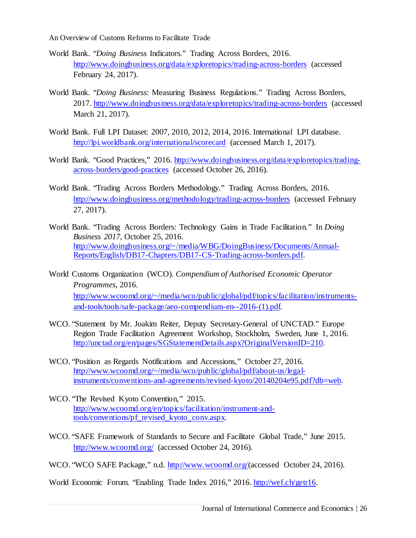- World Bank. "*Doing Business* Indicators." Trading Across Borders, 2016. <http://www.doingbusiness.org/data/exploretopics/trading-across-borders> (accessed February 24, 2017).
- World Bank. "*Doing Business*: Measuring Business Regulations." Trading Across Borders, 2017.<http://www.doingbusiness.org/data/exploretopics/trading-across-borders> (accessed March 21, 2017).
- World Bank. Full LPI Dataset: 2007, 2010, 2012, 2014, 2016. International LPI database. <http://lpi.worldbank.org/international/scorecard> (accessed March 1, 2017).
- World Bank. "Good Practices," 2016. [http://www.doingbusiness.org/data/exploretopics/trading](http://www.doingbusiness.org/data/exploretopics/trading-across-borders/good-practices)[across-borders/good-practices](http://www.doingbusiness.org/data/exploretopics/trading-across-borders/good-practices) (accessed October 26, 2016).
- World Bank. "Trading Across Borders Methodology." Trading Across Borders, 2016. <http://www.doingbusiness.org/methodology/trading-across-borders> (accessed February 27, 2017).
- World Bank. "Trading Across Borders: Technology Gains in Trade Facilitation." In *Doing Business 2017*, October 25, 2016. [http://www.doingbusiness.org/~/media/WBG/DoingBusiness/Documents/Annual-](http://www.doingbusiness.org/%7E/media/WBG/DoingBusiness/Documents/Annual-Reports/English/DB17-Chapters/DB17-CS-Trading-across-borders.pdf)[Reports/English/DB17-Chapters/DB17-CS-Trading-across-borders.pdf.](http://www.doingbusiness.org/%7E/media/WBG/DoingBusiness/Documents/Annual-Reports/English/DB17-Chapters/DB17-CS-Trading-across-borders.pdf)
- World Customs Organization (WCO). *Compendium of Authorised Economic Operator Programmes*, 2016. [http://www.wcoomd.org/~/media/wco/public/global/pdf/topics/facilitation/instruments](http://www.wcoomd.org/%7E/media/wco/public/global/pdf/topics/facilitation/instruments-and-tools/tools/safe-package/aeo-compendium-en--2016-(1).pdf)[and-tools/tools/safe-package/aeo-compendium-en--2016-\(1\).pdf.](http://www.wcoomd.org/%7E/media/wco/public/global/pdf/topics/facilitation/instruments-and-tools/tools/safe-package/aeo-compendium-en--2016-(1).pdf)
- WCO. "Statement by Mr. Joakim Reiter, Deputy Secretary-General of UNCTAD." Europe Region Trade Facilitation Agreement Workshop, Stockholm, Sweden, June 1, 2016. [http://unctad.org/en/pages/SGStatementDetails.aspx?OriginalVersionID=210.](http://unctad.org/en/pages/SGStatementDetails.aspx?OriginalVersionID=210)
- WCO. "Position as Regards Notifications and Accessions," October 27, 2016. [http://www.wcoomd.org/~/media/wco/public/global/pdf/about-us/legal](http://www.wcoomd.org/%7E/media/wco/public/global/pdf/about-us/legal-instruments/conventions-and-agreements/revised-kyoto/20140204e95.pdf?db=web)[instruments/conventions-and-agreements/revised-kyoto/20140204e95.pdf?db=web.](http://www.wcoomd.org/%7E/media/wco/public/global/pdf/about-us/legal-instruments/conventions-and-agreements/revised-kyoto/20140204e95.pdf?db=web)
- WCO. "The Revised Kyoto Convention," 2015. [http://www.wcoomd.org/en/topics/facilitation/instrument-and](http://www.wcoomd.org/en/topics/facilitation/instrument-and-tools/conventions/pf_revised_kyoto_conv.aspx)[tools/conventions/pf\\_revised\\_kyoto\\_conv.aspx.](http://www.wcoomd.org/en/topics/facilitation/instrument-and-tools/conventions/pf_revised_kyoto_conv.aspx)
- WCO. "SAFE Framework of Standards to Secure and Facilitate Global Trade," June 2015. <http://www.wcoomd.org/> (accessed October 24, 2016).
- WCO. "WCO SAFE Package," n.d. [http://www.wcoomd.org/\(a](http://www.wcoomd.org/)ccessed October 24, 2016).

World Economic Forum. "Enabling Trade Index 2016," 2016. [http://wef.ch/getr16.](http://wef.ch/getr16)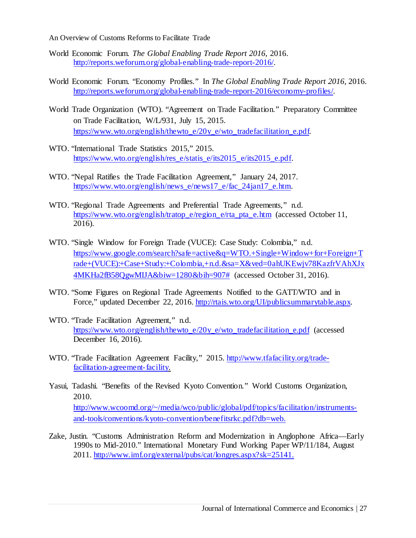- World Economic Forum. *The Global Enabling Trade Report 2016*, 2016. [http://reports.weforum.org/global-enabling-trade-report-2016/.](http://reports.weforum.org/global-enabling-trade-report-2016/)
- World Economic Forum. "Economy Profiles." In *The Global Enabling Trade Report 2016,* 2016. [http://reports.weforum.org/global-enabling-trade-report-2016/economy-profiles/.](http://reports.weforum.org/global-enabling-trade-report-2016/economy-profiles/)
- World Trade Organization (WTO). "Agreement on Trade Facilitation." Preparatory Committee on Trade Facilitation, W/L/931, July 15, 2015. [https://www.wto.org/english/thewto\\_e/20y\\_e/wto\\_tradefacilitation\\_e.pdf.](https://www.wto.org/english/thewto_e/20y_e/wto_tradefacilitation_e.pdf)
- WTO. "International Trade Statistics 2015," 2015. [https://www.wto.org/english/res\\_e/statis\\_e/its2015\\_e/its2015\\_e.pdf.](https://www.wto.org/english/res_e/statis_e/its2015_e/its2015_e.pdf)
- WTO. "Nepal Ratifies the Trade Facilitation Agreement," January 24, 2017. [https://www.wto.org/english/news\\_e/news17\\_e/fac\\_24jan17\\_e.htm.](https://www.wto.org/english/news_e/news17_e/fac_24jan17_e.htm)
- WTO. "Regional Trade Agreements and Preferential Trade Agreements," n.d. [https://www.wto.org/english/tratop\\_e/region\\_e/rta\\_pta\\_e.htm](https://www.wto.org/english/tratop_e/region_e/rta_pta_e.htm) (accessed October 11, 2016).
- WTO. "Single Window for Foreign Trade (VUCE): Case Study: Colombia," n.d. [https://www.google.com/search?safe=active&q=WTO.+Single+Window+for+Foreign+T](https://www.google.com/search?safe=active&q=WTO.+Single+Window+for+Foreign+Trade+(VUCE):+Case+Study:+Colombia,+n.d.&sa=X&ved=0ahUKEwjv78KazfrVAhXJx4MKHa2fB58QgwMIJA&biw=1280&bih=907) [rade+\(VUCE\):+Case+Study:+Colombia,+n.d.&sa=X&ved=0ahUKEwjv78KazfrVAhXJx](https://www.google.com/search?safe=active&q=WTO.+Single+Window+for+Foreign+Trade+(VUCE):+Case+Study:+Colombia,+n.d.&sa=X&ved=0ahUKEwjv78KazfrVAhXJx4MKHa2fB58QgwMIJA&biw=1280&bih=907) [4MKHa2fB58QgwMIJA&biw=1280&bih=907#](https://www.google.com/search?safe=active&q=WTO.+Single+Window+for+Foreign+Trade+(VUCE):+Case+Study:+Colombia,+n.d.&sa=X&ved=0ahUKEwjv78KazfrVAhXJx4MKHa2fB58QgwMIJA&biw=1280&bih=907) (accessed October 31, 2016).
- WTO. "Some Figures on Regional Trade Agreements Notified to the GATT/WTO and in Force," updated December 22, 2016. [http://rtais.wto.org/UI/publicsummarytable.aspx.](http://rtais.wto.org/UI/publicsummarytable.aspx)
- WTO. "Trade Facilitation Agreement," n.d. [https://www.wto.org/english/thewto\\_e/20y\\_e/wto\\_tradefacilitation\\_e.pdf](https://www.wto.org/english/thewto_e/20y_e/wto_tradefacilitation_e.pdf) (accessed December 16, 2016).
- WTO. "Trade Facilitation Agreement Facility," 2015. [http://www.tfafacility.org/trade](http://www.tfafacility.org/trade-facilitation-agreement-facility)[facilitation-agreement-facility.](http://www.tfafacility.org/trade-facilitation-agreement-facility)
- Yasui, Tadashi. "Benefits of the Revised Kyoto Convention." World Customs Organization, 2010. [http://www.wcoomd.org/~/media/wco/public/global/pdf/topics/facilitation/instruments](http://www.wcoomd.org/%7E/media/wco/public/global/pdf/topics/facilitation/instruments-and-tools/conventions/kyoto-convention/benefitsrkc.pdf?db=web)[and-tools/conventions/kyoto-convention/benefitsrkc.pdf?db=web.](http://www.wcoomd.org/%7E/media/wco/public/global/pdf/topics/facilitation/instruments-and-tools/conventions/kyoto-convention/benefitsrkc.pdf?db=web)
- Zake, Justin. "Customs Administration Reform and Modernization in Anglophone Africa—Early 1990s to Mid-2010." International Monetary Fund Working Paper WP/11/184, August 2011. [http://www.imf.org/external/pubs/cat/longres.aspx?sk=25141.](http://www.imf.org/external/pubs/cat/longres.aspx?sk=25141)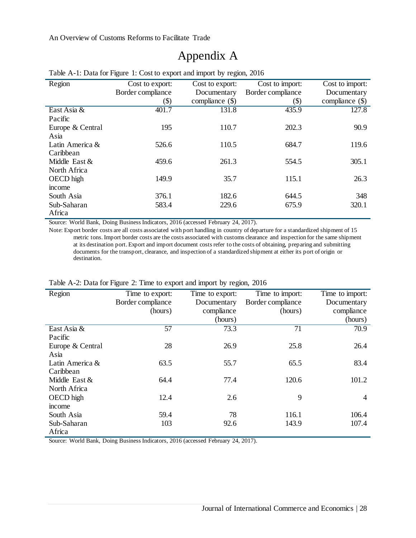# Appendix A

| Region           | Cost to export:<br>Cost to export: |                   | Cost to import:           | $\overline{\text{Cost to import}}$ : |
|------------------|------------------------------------|-------------------|---------------------------|--------------------------------------|
|                  | Border compliance                  | Documentary       | Border compliance         | Documentary                          |
|                  | $\left( \text{\$}\right)$          | compliance $(\$)$ | $\left( \text{\$}\right)$ | compliance $(\$)$                    |
| East Asia &      | 401.7                              | 131.8             | 435.9                     | 127.8                                |
| Pacific          |                                    |                   |                           |                                      |
| Europe & Central | 195                                | 110.7             | 202.3                     | 90.9                                 |
| Asia             |                                    |                   |                           |                                      |
| Latin America &  | 526.6                              | 110.5             | 684.7                     | 119.6                                |
| Caribbean        |                                    |                   |                           |                                      |
| Middle East $&$  | 459.6                              | 261.3             | 554.5                     | 305.1                                |
| North Africa     |                                    |                   |                           |                                      |
| OECD high        | 149.9                              | 35.7              | 115.1                     | 26.3                                 |
| income           |                                    |                   |                           |                                      |
| South Asia       | 376.1                              | 182.6             | 644.5                     | 348                                  |
| Sub-Saharan      | 583.4                              | 229.6             | 675.9                     | 320.1                                |
| Africa           |                                    |                   |                           |                                      |

#### Table A-1: Data for Figure 1: Cost to export and import by region, 2016

Source: World Bank, Doing Business Indicators, 2016 (accessed February 24, 2017).

Note: Export border costs are all costs associated with port handling in country of departure for a standardized shipment of 15 metric tons. Import border costs are the costs associated with customs clearance and inspection for the same shipment at its destination port. Export and import document costs refer to the costs of obtaining, preparing and submitting documents for the transport, clearance, and inspection of a standardized shipment at either its port of origin or destination.

| Region           | Time to export:<br>Time to export: |             | Time to import:   | Time to import: |
|------------------|------------------------------------|-------------|-------------------|-----------------|
|                  | Border compliance                  | Documentary | Border compliance | Documentary     |
|                  | (hours)                            | compliance  | (hours)           | compliance      |
|                  |                                    | (hours)     |                   | (hours)         |
| East Asia &      | 57                                 | 73.3        | 71                | 70.9            |
| Pacific          |                                    |             |                   |                 |
| Europe & Central | 28                                 | 26.9        | 25.8              | 26.4            |
| Asia             |                                    |             |                   |                 |
| Latin America &  | 63.5                               | 55.7        | 65.5              | 83.4            |
| Caribbean        |                                    |             |                   |                 |
| Middle East &    | 64.4                               | 77.4        | 120.6             | 101.2           |
| North Africa     |                                    |             |                   |                 |
| OECD high        | 12.4                               | 2.6         | 9                 | $\overline{4}$  |
| income           |                                    |             |                   |                 |
| South Asia       | 59.4                               | 78          | 116.1             | 106.4           |
| Sub-Saharan      | 103                                | 92.6        | 143.9             | 107.4           |
| Africa           |                                    |             |                   |                 |

#### Table A-2: Data for Figure 2: Time to export and import by region, 2016

Source: World Bank, Doing Business Indicators, 2016 (accessed February 24, 2017).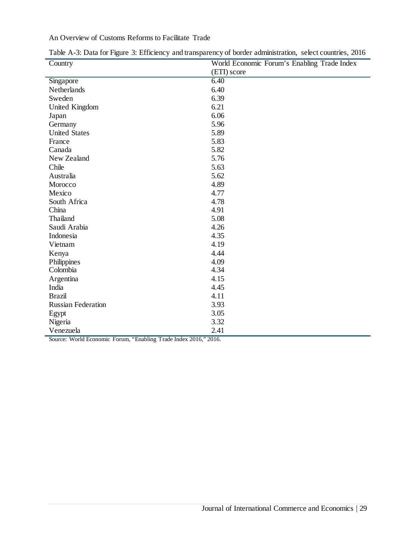| Country                   | World Economic Forum's Enabling Trade Index |  |  |
|---------------------------|---------------------------------------------|--|--|
|                           | (ETI) score                                 |  |  |
| Singapore                 | 6.40                                        |  |  |
| Netherlands               | 6.40                                        |  |  |
| Sweden                    | 6.39                                        |  |  |
| United Kingdom            | 6.21                                        |  |  |
| Japan                     | 6.06                                        |  |  |
| Germany                   | 5.96                                        |  |  |
| <b>United States</b>      | 5.89                                        |  |  |
| France                    | 5.83                                        |  |  |
| Canada                    | 5.82                                        |  |  |
| New Zealand               | 5.76                                        |  |  |
| Chile                     | 5.63                                        |  |  |
| Australia                 | 5.62                                        |  |  |
| Morocco                   | 4.89                                        |  |  |
| Mexico                    | 4.77                                        |  |  |
| South Africa              | 4.78                                        |  |  |
| China                     | 4.91                                        |  |  |
| Thailand                  | 5.08                                        |  |  |
| Saudi Arabia              | 4.26                                        |  |  |
| Indonesia                 | 4.35                                        |  |  |
| Vietnam                   | 4.19                                        |  |  |
| Kenya                     | 4.44                                        |  |  |
| Philippines               | 4.09                                        |  |  |
| Colombia                  | 4.34                                        |  |  |
| Argentina                 | 4.15                                        |  |  |
| India                     | 4.45                                        |  |  |
| <b>Brazil</b>             | 4.11                                        |  |  |
| <b>Russian Federation</b> | 3.93                                        |  |  |
| Egypt                     | 3.05                                        |  |  |
| Nigeria                   | 3.32                                        |  |  |
| Venezuela                 | 2.41                                        |  |  |

Table A-3: Data for Figure 3: Efficiency and transparency of border administration, select countries, 2016

Source: World Economic Forum, "Enabling Trade Index 2016," 2016.